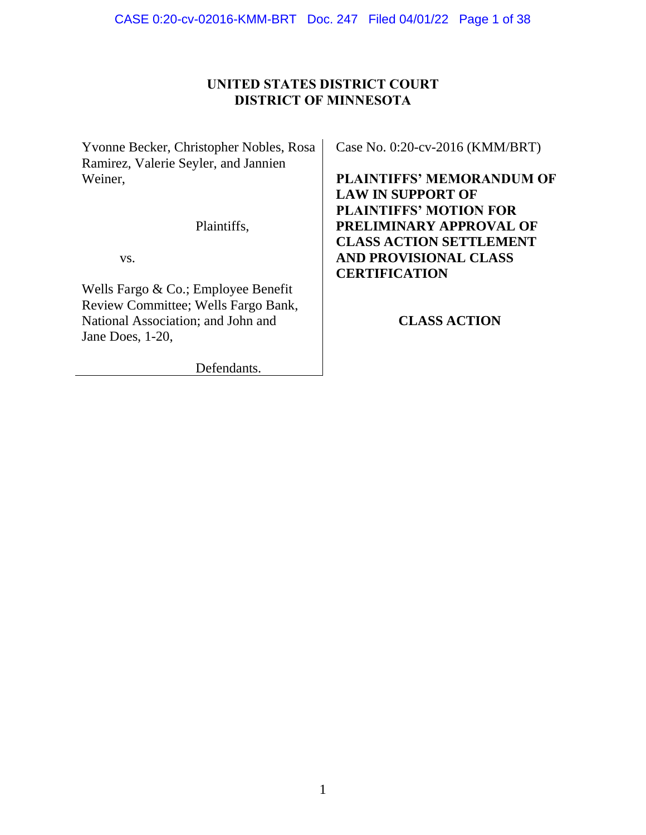# **UNITED STATES DISTRICT COURT DISTRICT OF MINNESOTA**

Yvonne Becker, Christopher Nobles, Rosa Ramirez, Valerie Seyler, and Jannien Weiner,

Plaintiffs,

vs.

Wells Fargo & Co.; Employee Benefit Review Committee; Wells Fargo Bank, National Association; and John and Jane Does, 1-20,

Defendants.

Case No. 0:20-cv-2016 (KMM/BRT)

**PLAINTIFFS' MEMORANDUM OF LAW IN SUPPORT OF PLAINTIFFS' MOTION FOR PRELIMINARY APPROVAL OF CLASS ACTION SETTLEMENT AND PROVISIONAL CLASS CERTIFICATION**

# **CLASS ACTION**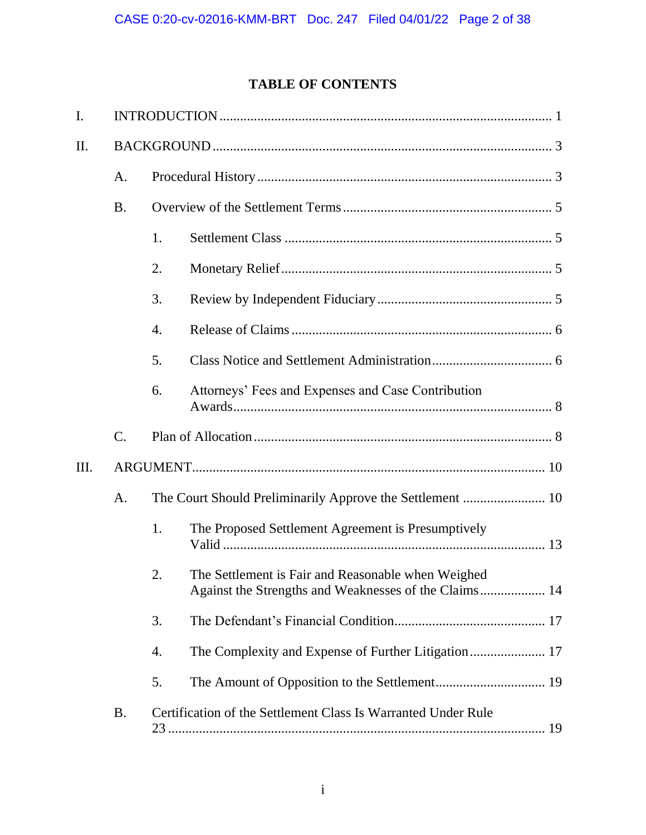# **TABLE OF CONTENTS**

| I.   |            |                                                           |                                                                                                             |  |  |  |
|------|------------|-----------------------------------------------------------|-------------------------------------------------------------------------------------------------------------|--|--|--|
| II.  |            |                                                           |                                                                                                             |  |  |  |
|      | A.         |                                                           |                                                                                                             |  |  |  |
|      | <b>B</b> . |                                                           |                                                                                                             |  |  |  |
|      |            | 1.                                                        |                                                                                                             |  |  |  |
|      |            | 2.                                                        |                                                                                                             |  |  |  |
|      |            | 3.                                                        |                                                                                                             |  |  |  |
|      |            | 4.                                                        |                                                                                                             |  |  |  |
|      |            | 5.                                                        |                                                                                                             |  |  |  |
|      |            | 6.                                                        | Attorneys' Fees and Expenses and Case Contribution                                                          |  |  |  |
|      | C.         |                                                           |                                                                                                             |  |  |  |
| III. |            |                                                           |                                                                                                             |  |  |  |
|      | A.         | The Court Should Preliminarily Approve the Settlement  10 |                                                                                                             |  |  |  |
|      |            | 1.                                                        | The Proposed Settlement Agreement is Presumptively                                                          |  |  |  |
|      |            | 2.                                                        | The Settlement is Fair and Reasonable when Weighed<br>Against the Strengths and Weaknesses of the Claims 14 |  |  |  |
|      |            | 3.                                                        |                                                                                                             |  |  |  |
|      |            | 4.                                                        |                                                                                                             |  |  |  |
|      |            | 5.                                                        |                                                                                                             |  |  |  |
|      | <b>B.</b>  |                                                           | Certification of the Settlement Class Is Warranted Under Rule                                               |  |  |  |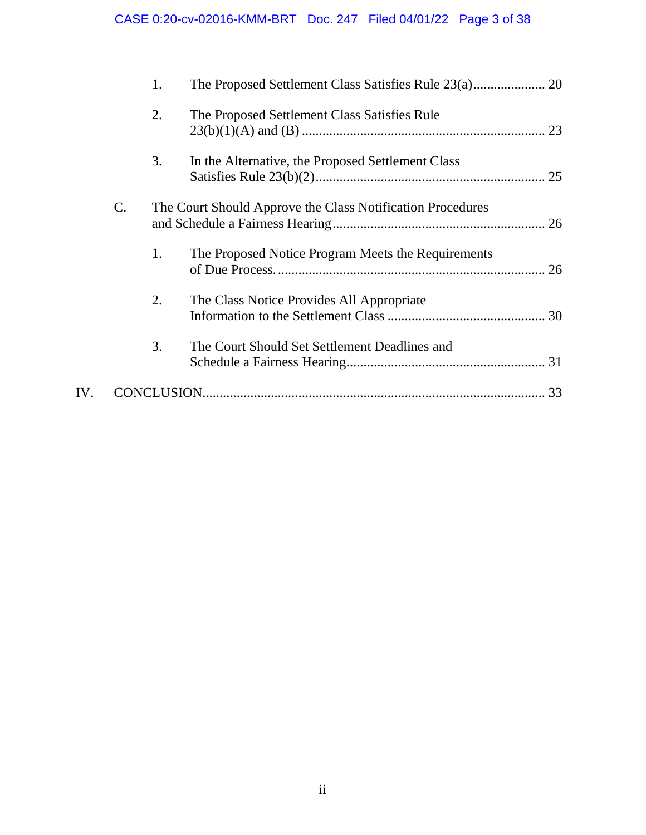# CASE 0:20-cv-02016-KMM-BRT Doc. 247 Filed 04/01/22 Page 3 of 38

|     |                 | 1.                                                         |                                                    |  |
|-----|-----------------|------------------------------------------------------------|----------------------------------------------------|--|
|     |                 | 2.                                                         | The Proposed Settlement Class Satisfies Rule       |  |
|     |                 | 3.                                                         | In the Alternative, the Proposed Settlement Class  |  |
|     | $\mathcal{C}$ . | The Court Should Approve the Class Notification Procedures |                                                    |  |
|     |                 | 1.                                                         | The Proposed Notice Program Meets the Requirements |  |
|     |                 | 2.                                                         | The Class Notice Provides All Appropriate          |  |
|     |                 | 3.                                                         | The Court Should Set Settlement Deadlines and      |  |
| IV. |                 |                                                            |                                                    |  |
|     |                 |                                                            |                                                    |  |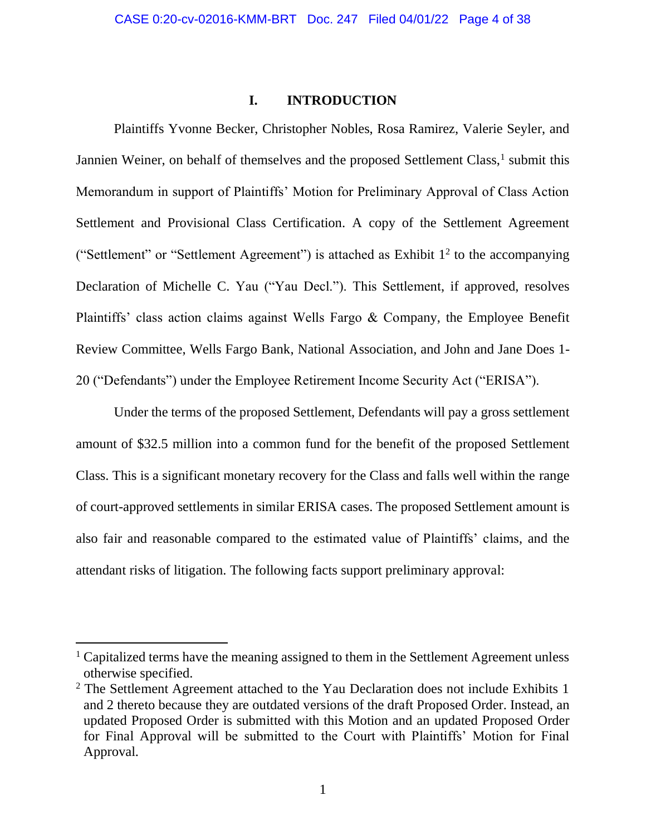### **I. INTRODUCTION**

Plaintiffs Yvonne Becker, Christopher Nobles, Rosa Ramirez, Valerie Seyler, and Jannien Weiner, on behalf of themselves and the proposed Settlement Class,<sup>1</sup> submit this Memorandum in support of Plaintiffs' Motion for Preliminary Approval of Class Action Settlement and Provisional Class Certification. A copy of the Settlement Agreement ("Settlement" or "Settlement Agreement") is attached as Exhibit  $1<sup>2</sup>$  to the accompanying Declaration of Michelle C. Yau ("Yau Decl."). This Settlement, if approved, resolves Plaintiffs' class action claims against Wells Fargo & Company, the Employee Benefit Review Committee, Wells Fargo Bank, National Association, and John and Jane Does 1- 20 ("Defendants") under the Employee Retirement Income Security Act ("ERISA").

Under the terms of the proposed Settlement, Defendants will pay a gross settlement amount of \$32.5 million into a common fund for the benefit of the proposed Settlement Class. This is a significant monetary recovery for the Class and falls well within the range of court-approved settlements in similar ERISA cases. The proposed Settlement amount is also fair and reasonable compared to the estimated value of Plaintiffs' claims, and the attendant risks of litigation. The following facts support preliminary approval:

<sup>&</sup>lt;sup>1</sup> Capitalized terms have the meaning assigned to them in the Settlement Agreement unless otherwise specified.

<sup>&</sup>lt;sup>2</sup> The Settlement Agreement attached to the Yau Declaration does not include Exhibits 1 and 2 thereto because they are outdated versions of the draft Proposed Order. Instead, an updated Proposed Order is submitted with this Motion and an updated Proposed Order for Final Approval will be submitted to the Court with Plaintiffs' Motion for Final Approval.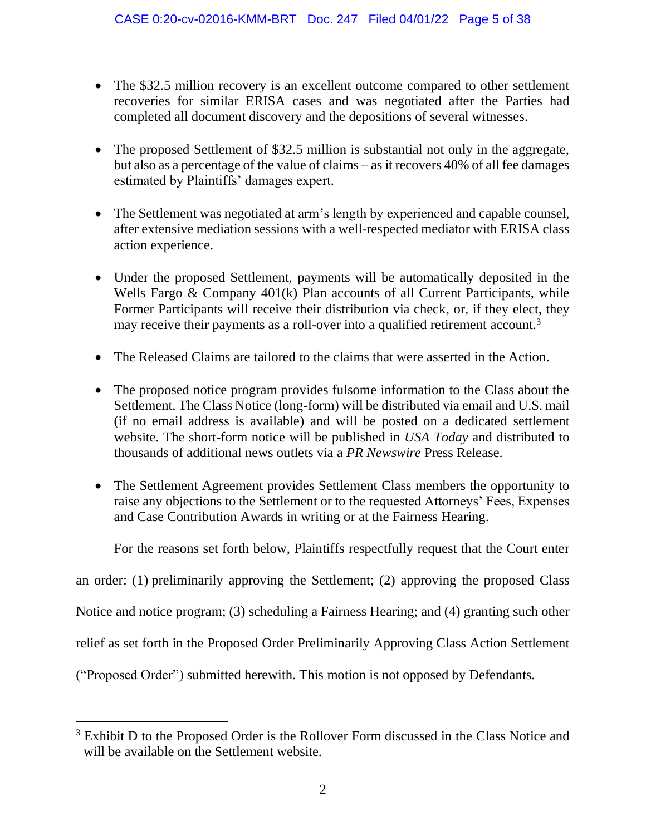- The \$32.5 million recovery is an excellent outcome compared to other settlement recoveries for similar ERISA cases and was negotiated after the Parties had completed all document discovery and the depositions of several witnesses.
- The proposed Settlement of \$32.5 million is substantial not only in the aggregate, but also as a percentage of the value of claims – as it recovers 40% of all fee damages estimated by Plaintiffs' damages expert.
- The Settlement was negotiated at arm's length by experienced and capable counsel, after extensive mediation sessions with a well-respected mediator with ERISA class action experience.
- Under the proposed Settlement, payments will be automatically deposited in the Wells Fargo & Company 401(k) Plan accounts of all Current Participants, while Former Participants will receive their distribution via check, or, if they elect, they may receive their payments as a roll-over into a qualified retirement account.<sup>3</sup>
- The Released Claims are tailored to the claims that were asserted in the Action.
- The proposed notice program provides fulsome information to the Class about the Settlement. The Class Notice (long-form) will be distributed via email and U.S. mail (if no email address is available) and will be posted on a dedicated settlement website. The short-form notice will be published in *USA Today* and distributed to thousands of additional news outlets via a *PR Newswire* Press Release.
- The Settlement Agreement provides Settlement Class members the opportunity to raise any objections to the Settlement or to the requested Attorneys' Fees, Expenses and Case Contribution Awards in writing or at the Fairness Hearing.

For the reasons set forth below, Plaintiffs respectfully request that the Court enter

an order: (1) preliminarily approving the Settlement; (2) approving the proposed Class

Notice and notice program; (3) scheduling a Fairness Hearing; and (4) granting such other

relief as set forth in the Proposed Order Preliminarily Approving Class Action Settlement

("Proposed Order") submitted herewith. This motion is not opposed by Defendants.

<sup>&</sup>lt;sup>3</sup> Exhibit D to the Proposed Order is the Rollover Form discussed in the Class Notice and will be available on the Settlement website.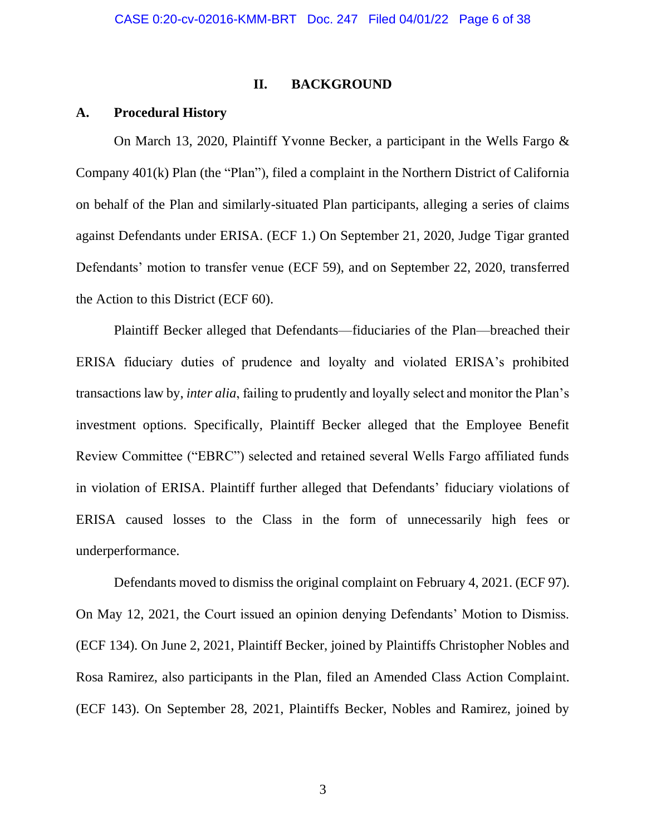### **II. BACKGROUND**

### **A. Procedural History**

On March 13, 2020, Plaintiff Yvonne Becker, a participant in the Wells Fargo & Company 401(k) Plan (the "Plan"), filed a complaint in the Northern District of California on behalf of the Plan and similarly-situated Plan participants, alleging a series of claims against Defendants under ERISA. (ECF 1.) On September 21, 2020, Judge Tigar granted Defendants' motion to transfer venue (ECF 59), and on September 22, 2020, transferred the Action to this District (ECF 60).

Plaintiff Becker alleged that Defendants—fiduciaries of the Plan—breached their ERISA fiduciary duties of prudence and loyalty and violated ERISA's prohibited transactions law by, *inter alia*, failing to prudently and loyally select and monitor the Plan's investment options. Specifically, Plaintiff Becker alleged that the Employee Benefit Review Committee ("EBRC") selected and retained several Wells Fargo affiliated funds in violation of ERISA. Plaintiff further alleged that Defendants' fiduciary violations of ERISA caused losses to the Class in the form of unnecessarily high fees or underperformance.

Defendants moved to dismiss the original complaint on February 4, 2021. (ECF 97). On May 12, 2021, the Court issued an opinion denying Defendants' Motion to Dismiss. (ECF 134). On June 2, 2021, Plaintiff Becker, joined by Plaintiffs Christopher Nobles and Rosa Ramirez, also participants in the Plan, filed an Amended Class Action Complaint. (ECF 143). On September 28, 2021, Plaintiffs Becker, Nobles and Ramirez, joined by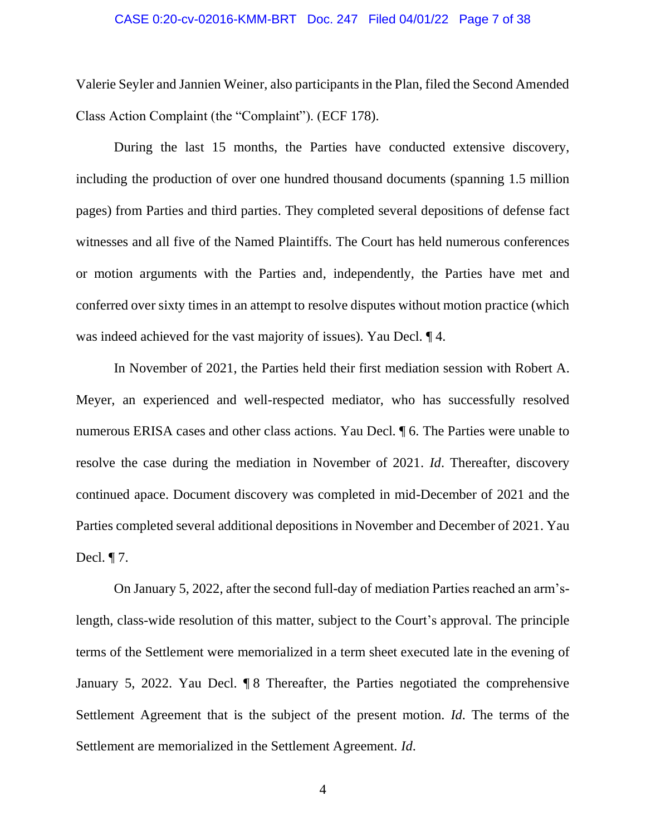#### CASE 0:20-cv-02016-KMM-BRT Doc. 247 Filed 04/01/22 Page 7 of 38

Valerie Seyler and Jannien Weiner, also participants in the Plan, filed the Second Amended Class Action Complaint (the "Complaint"). (ECF 178).

During the last 15 months, the Parties have conducted extensive discovery, including the production of over one hundred thousand documents (spanning 1.5 million pages) from Parties and third parties. They completed several depositions of defense fact witnesses and all five of the Named Plaintiffs. The Court has held numerous conferences or motion arguments with the Parties and, independently, the Parties have met and conferred over sixty times in an attempt to resolve disputes without motion practice (which was indeed achieved for the vast majority of issues). Yau Decl. ¶ 4.

In November of 2021, the Parties held their first mediation session with Robert A. Meyer, an experienced and well-respected mediator, who has successfully resolved numerous ERISA cases and other class actions. Yau Decl. ¶ 6. The Parties were unable to resolve the case during the mediation in November of 2021. *Id*. Thereafter, discovery continued apace. Document discovery was completed in mid-December of 2021 and the Parties completed several additional depositions in November and December of 2021. Yau Decl. ¶ 7.

On January 5, 2022, after the second full-day of mediation Parties reached an arm'slength, class-wide resolution of this matter, subject to the Court's approval. The principle terms of the Settlement were memorialized in a term sheet executed late in the evening of January 5, 2022. Yau Decl. ¶ 8 Thereafter, the Parties negotiated the comprehensive Settlement Agreement that is the subject of the present motion. *Id*. The terms of the Settlement are memorialized in the Settlement Agreement. *Id*.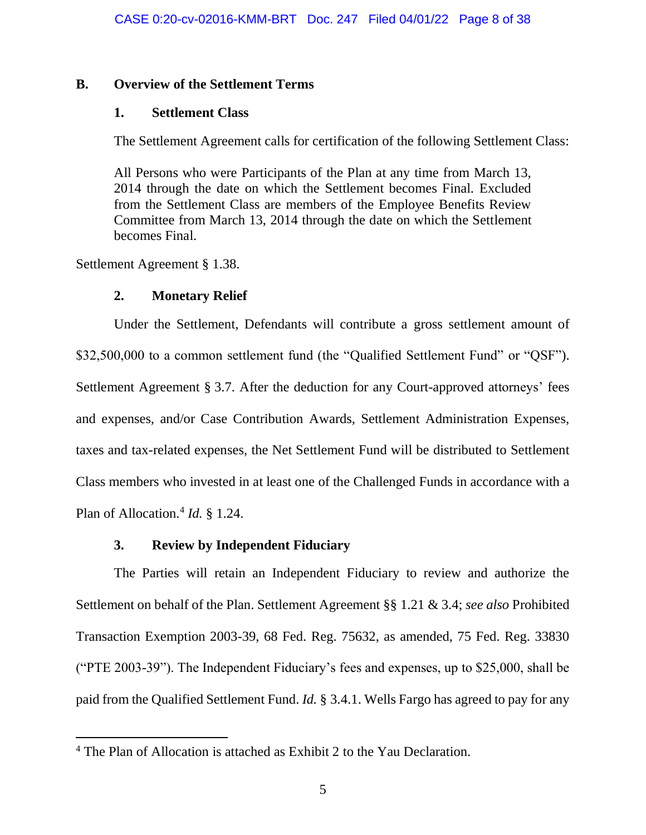### **B. Overview of the Settlement Terms**

### **1. Settlement Class**

The Settlement Agreement calls for certification of the following Settlement Class:

All Persons who were Participants of the Plan at any time from March 13, 2014 through the date on which the Settlement becomes Final. Excluded from the Settlement Class are members of the Employee Benefits Review Committee from March 13, 2014 through the date on which the Settlement becomes Final.

Settlement Agreement § 1.38.

# **2. Monetary Relief**

Under the Settlement, Defendants will contribute a gross settlement amount of \$32,500,000 to a common settlement fund (the "Qualified Settlement Fund" or "QSF"). Settlement Agreement § 3.7. After the deduction for any Court-approved attorneys' fees and expenses, and/or Case Contribution Awards, Settlement Administration Expenses, taxes and tax-related expenses, the Net Settlement Fund will be distributed to Settlement Class members who invested in at least one of the Challenged Funds in accordance with a Plan of Allocation.<sup>4</sup> *Id.* § 1.24.

# **3. Review by Independent Fiduciary**

The Parties will retain an Independent Fiduciary to review and authorize the Settlement on behalf of the Plan. Settlement Agreement §§ 1.21 & 3.4; *see also* Prohibited Transaction Exemption 2003-39, 68 Fed. Reg. 75632, as amended, 75 Fed. Reg. 33830 ("PTE 2003-39"). The Independent Fiduciary's fees and expenses, up to \$25,000, shall be paid from the Qualified Settlement Fund. *Id.* § 3.4.1. Wells Fargo has agreed to pay for any

<sup>4</sup> The Plan of Allocation is attached as Exhibit 2 to the Yau Declaration.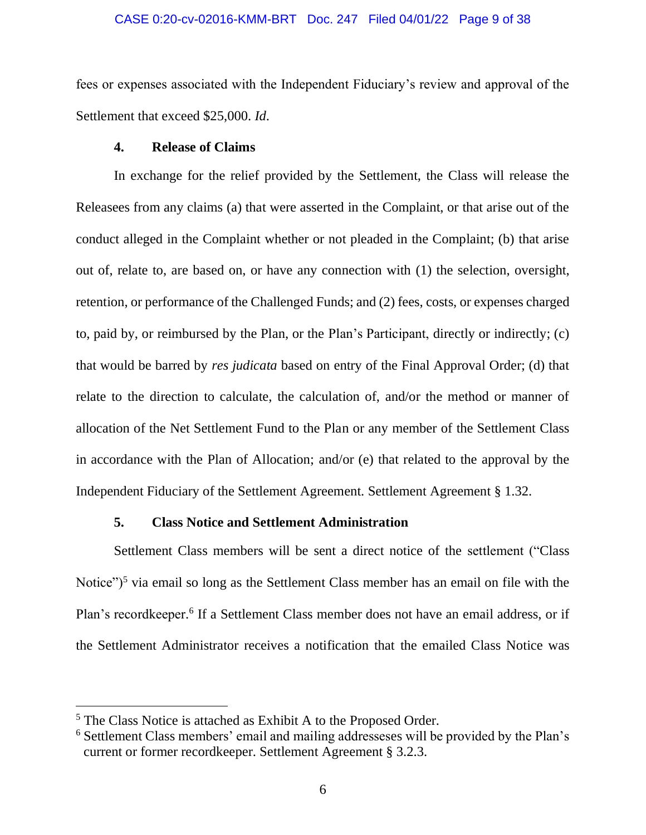#### CASE 0:20-cv-02016-KMM-BRT Doc. 247 Filed 04/01/22 Page 9 of 38

fees or expenses associated with the Independent Fiduciary's review and approval of the Settlement that exceed \$25,000. *Id*.

# **4. Release of Claims**

In exchange for the relief provided by the Settlement, the Class will release the Releasees from any claims (a) that were asserted in the Complaint, or that arise out of the conduct alleged in the Complaint whether or not pleaded in the Complaint; (b) that arise out of, relate to, are based on, or have any connection with (1) the selection, oversight, retention, or performance of the Challenged Funds; and (2) fees, costs, or expenses charged to, paid by, or reimbursed by the Plan, or the Plan's Participant, directly or indirectly; (c) that would be barred by *res judicata* based on entry of the Final Approval Order; (d) that relate to the direction to calculate, the calculation of, and/or the method or manner of allocation of the Net Settlement Fund to the Plan or any member of the Settlement Class in accordance with the Plan of Allocation; and/or (e) that related to the approval by the Independent Fiduciary of the Settlement Agreement. Settlement Agreement § 1.32.

# **5. Class Notice and Settlement Administration**

Settlement Class members will be sent a direct notice of the settlement ("Class Notice")<sup>5</sup> via email so long as the Settlement Class member has an email on file with the Plan's recordkeeper.<sup>6</sup> If a Settlement Class member does not have an email address, or if the Settlement Administrator receives a notification that the emailed Class Notice was

<sup>5</sup> The Class Notice is attached as Exhibit A to the Proposed Order.

<sup>6</sup> Settlement Class members' email and mailing addresseses will be provided by the Plan's current or former recordkeeper. Settlement Agreement § 3.2.3.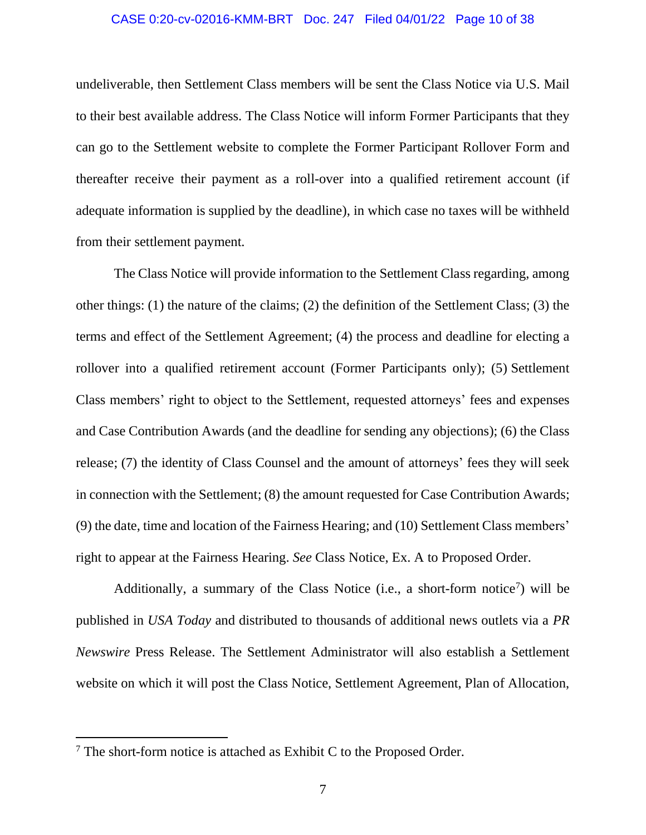#### CASE 0:20-cv-02016-KMM-BRT Doc. 247 Filed 04/01/22 Page 10 of 38

undeliverable, then Settlement Class members will be sent the Class Notice via U.S. Mail to their best available address. The Class Notice will inform Former Participants that they can go to the Settlement website to complete the Former Participant Rollover Form and thereafter receive their payment as a roll-over into a qualified retirement account (if adequate information is supplied by the deadline), in which case no taxes will be withheld from their settlement payment.

The Class Notice will provide information to the Settlement Class regarding, among other things: (1) the nature of the claims; (2) the definition of the Settlement Class; (3) the terms and effect of the Settlement Agreement; (4) the process and deadline for electing a rollover into a qualified retirement account (Former Participants only); (5) Settlement Class members' right to object to the Settlement, requested attorneys' fees and expenses and Case Contribution Awards (and the deadline for sending any objections); (6) the Class release; (7) the identity of Class Counsel and the amount of attorneys' fees they will seek in connection with the Settlement; (8) the amount requested for Case Contribution Awards; (9) the date, time and location of the Fairness Hearing; and (10) Settlement Class members' right to appear at the Fairness Hearing. *See* Class Notice, Ex. A to Proposed Order.

Additionally, a summary of the Class Notice (i.e., a short-form notice<sup>7</sup>) will be published in *USA Today* and distributed to thousands of additional news outlets via a *PR Newswire* Press Release. The Settlement Administrator will also establish a Settlement website on which it will post the Class Notice, Settlement Agreement, Plan of Allocation,

<sup>7</sup> The short-form notice is attached as Exhibit C to the Proposed Order.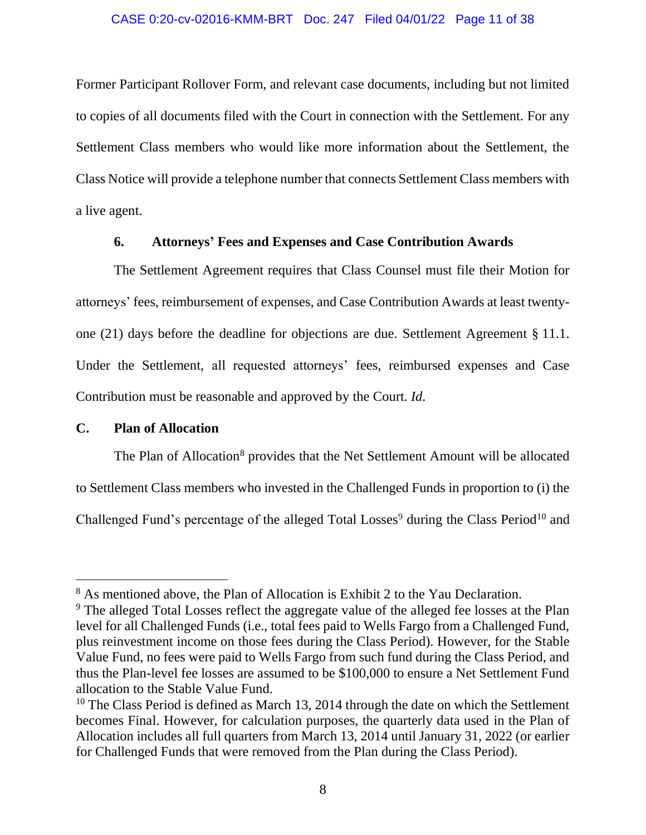Former Participant Rollover Form, and relevant case documents, including but not limited to copies of all documents filed with the Court in connection with the Settlement. For any Settlement Class members who would like more information about the Settlement, the Class Notice will provide a telephone number that connects Settlement Class members with a live agent.

# **6. Attorneys' Fees and Expenses and Case Contribution Awards**

The Settlement Agreement requires that Class Counsel must file their Motion for attorneys' fees, reimbursement of expenses, and Case Contribution Awards at least twentyone (21) days before the deadline for objections are due. Settlement Agreement § 11.1. Under the Settlement, all requested attorneys' fees, reimbursed expenses and Case Contribution must be reasonable and approved by the Court. *Id*.

# **C. Plan of Allocation**

The Plan of Allocation<sup>8</sup> provides that the Net Settlement Amount will be allocated to Settlement Class members who invested in the Challenged Funds in proportion to (i) the Challenged Fund's percentage of the alleged Total Losses<sup>9</sup> during the Class Period<sup>10</sup> and

<sup>&</sup>lt;sup>8</sup> As mentioned above, the Plan of Allocation is Exhibit 2 to the Yau Declaration.

<sup>&</sup>lt;sup>9</sup> The alleged Total Losses reflect the aggregate value of the alleged fee losses at the Plan level for all Challenged Funds (i.e., total fees paid to Wells Fargo from a Challenged Fund, plus reinvestment income on those fees during the Class Period). However, for the Stable Value Fund, no fees were paid to Wells Fargo from such fund during the Class Period, and thus the Plan-level fee losses are assumed to be \$100,000 to ensure a Net Settlement Fund allocation to the Stable Value Fund.

<sup>&</sup>lt;sup>10</sup> The Class Period is defined as March 13, 2014 through the date on which the Settlement becomes Final. However, for calculation purposes, the quarterly data used in the Plan of Allocation includes all full quarters from March 13, 2014 until January 31, 2022 (or earlier for Challenged Funds that were removed from the Plan during the Class Period).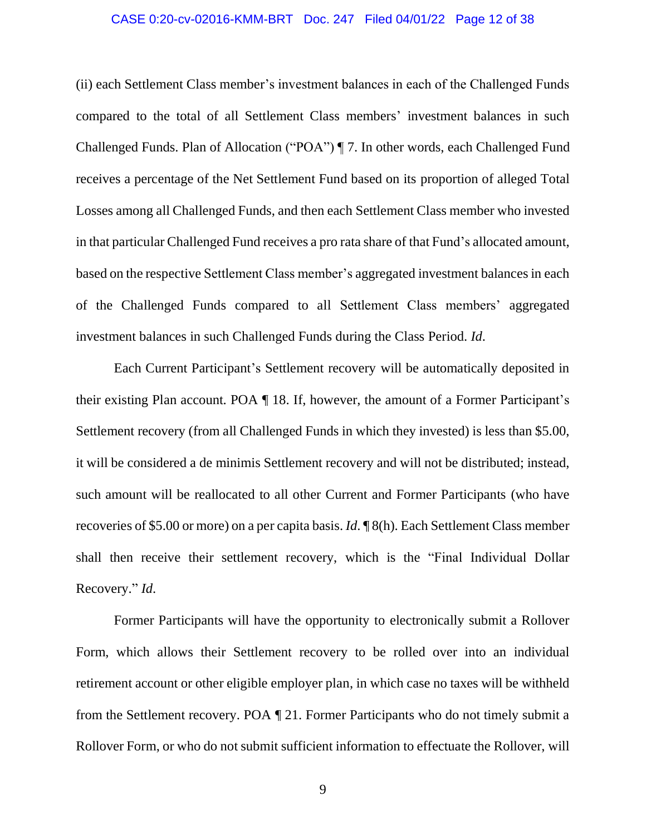#### CASE 0:20-cv-02016-KMM-BRT Doc. 247 Filed 04/01/22 Page 12 of 38

(ii) each Settlement Class member's investment balances in each of the Challenged Funds compared to the total of all Settlement Class members' investment balances in such Challenged Funds. Plan of Allocation ("POA") ¶ 7. In other words, each Challenged Fund receives a percentage of the Net Settlement Fund based on its proportion of alleged Total Losses among all Challenged Funds, and then each Settlement Class member who invested in that particular Challenged Fund receives a pro rata share of that Fund's allocated amount, based on the respective Settlement Class member's aggregated investment balances in each of the Challenged Funds compared to all Settlement Class members' aggregated investment balances in such Challenged Funds during the Class Period. *Id*.

Each Current Participant's Settlement recovery will be automatically deposited in their existing Plan account. POA ¶ 18. If, however, the amount of a Former Participant's Settlement recovery (from all Challenged Funds in which they invested) is less than \$5.00, it will be considered a de minimis Settlement recovery and will not be distributed; instead, such amount will be reallocated to all other Current and Former Participants (who have recoveries of \$5.00 or more) on a per capita basis. *Id*. ¶ 8(h). Each Settlement Class member shall then receive their settlement recovery, which is the "Final Individual Dollar Recovery." *Id*.

Former Participants will have the opportunity to electronically submit a Rollover Form, which allows their Settlement recovery to be rolled over into an individual retirement account or other eligible employer plan, in which case no taxes will be withheld from the Settlement recovery. POA ¶ 21. Former Participants who do not timely submit a Rollover Form, or who do not submit sufficient information to effectuate the Rollover, will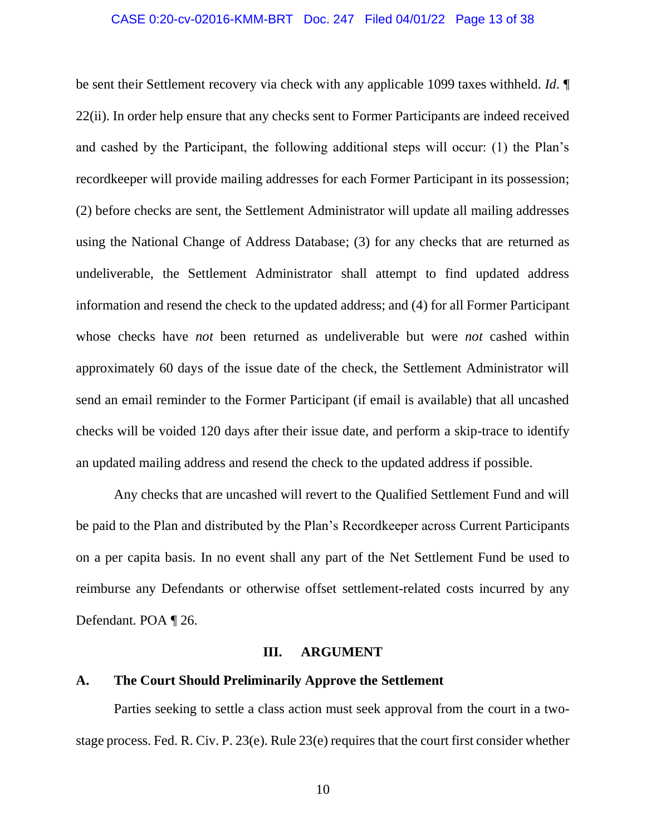#### CASE 0:20-cv-02016-KMM-BRT Doc. 247 Filed 04/01/22 Page 13 of 38

be sent their Settlement recovery via check with any applicable 1099 taxes withheld. *Id*. ¶ 22(ii). In order help ensure that any checks sent to Former Participants are indeed received and cashed by the Participant, the following additional steps will occur: (1) the Plan's recordkeeper will provide mailing addresses for each Former Participant in its possession; (2) before checks are sent, the Settlement Administrator will update all mailing addresses using the National Change of Address Database; (3) for any checks that are returned as undeliverable, the Settlement Administrator shall attempt to find updated address information and resend the check to the updated address; and (4) for all Former Participant whose checks have *not* been returned as undeliverable but were *not* cashed within approximately 60 days of the issue date of the check, the Settlement Administrator will send an email reminder to the Former Participant (if email is available) that all uncashed checks will be voided 120 days after their issue date, and perform a skip-trace to identify an updated mailing address and resend the check to the updated address if possible.

Any checks that are uncashed will revert to the Qualified Settlement Fund and will be paid to the Plan and distributed by the Plan's Recordkeeper across Current Participants on a per capita basis. In no event shall any part of the Net Settlement Fund be used to reimburse any Defendants or otherwise offset settlement-related costs incurred by any Defendant. POA ¶ 26.

### **III. ARGUMENT**

### **A. The Court Should Preliminarily Approve the Settlement**

Parties seeking to settle a class action must seek approval from the court in a twostage process. Fed. R. Civ. P. 23(e). Rule 23(e) requires that the court first consider whether

10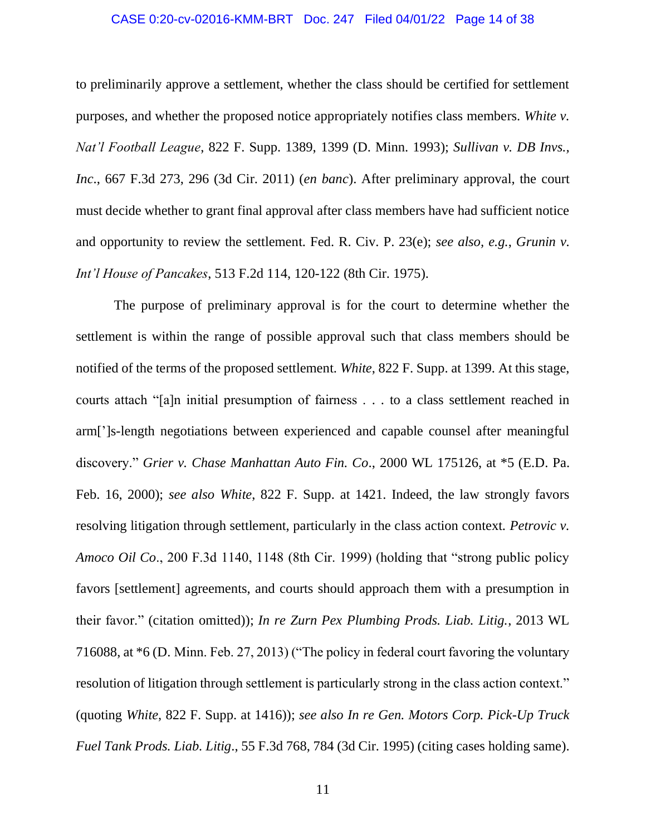### CASE 0:20-cv-02016-KMM-BRT Doc. 247 Filed 04/01/22 Page 14 of 38

to preliminarily approve a settlement, whether the class should be certified for settlement purposes, and whether the proposed notice appropriately notifies class members. *White v. Nat'l Football League*, 822 F. Supp. 1389, 1399 (D. Minn. 1993); *Sullivan v. DB Invs., Inc*., 667 F.3d 273, 296 (3d Cir. 2011) (*en banc*). After preliminary approval, the court must decide whether to grant final approval after class members have had sufficient notice and opportunity to review the settlement. Fed. R. Civ. P. 23(e); *see also, e.g.*, *Grunin v. Int'l House of Pancakes*, 513 F.2d 114, 120-122 (8th Cir. 1975).

The purpose of preliminary approval is for the court to determine whether the settlement is within the range of possible approval such that class members should be notified of the terms of the proposed settlement. *White*, 822 F. Supp. at 1399. At this stage, courts attach "[a]n initial presumption of fairness . . . to a class settlement reached in arm[']s-length negotiations between experienced and capable counsel after meaningful discovery." *Grier v. Chase Manhattan Auto Fin. Co*., 2000 WL 175126, at \*5 (E.D. Pa. Feb. 16, 2000); *see also White*, 822 F. Supp. at 1421. Indeed, the law strongly favors resolving litigation through settlement, particularly in the class action context. *Petrovic v. Amoco Oil Co*., 200 F.3d 1140, 1148 (8th Cir. 1999) (holding that "strong public policy favors [settlement] agreements, and courts should approach them with a presumption in their favor." (citation omitted)); *In re Zurn Pex Plumbing Prods. Liab. Litig.*, 2013 WL 716088, at \*6 (D. Minn. Feb. 27, 2013) ("The policy in federal court favoring the voluntary resolution of litigation through settlement is particularly strong in the class action context." (quoting *White*, 822 F. Supp. at 1416)); *see also In re Gen. Motors Corp. Pick-Up Truck Fuel Tank Prods. Liab. Litig*., 55 F.3d 768, 784 (3d Cir. 1995) (citing cases holding same).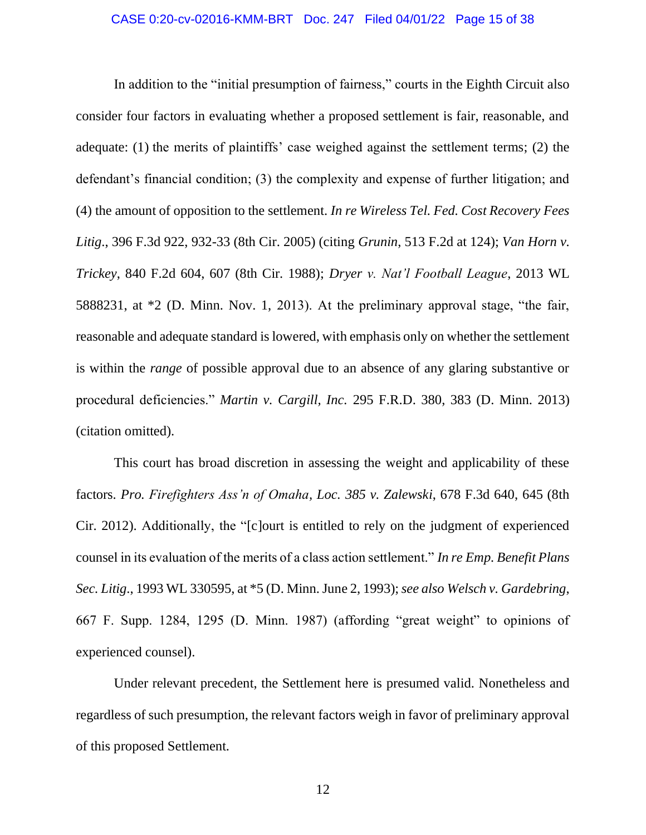In addition to the "initial presumption of fairness," courts in the Eighth Circuit also consider four factors in evaluating whether a proposed settlement is fair, reasonable, and adequate: (1) the merits of plaintiffs' case weighed against the settlement terms; (2) the defendant's financial condition; (3) the complexity and expense of further litigation; and (4) the amount of opposition to the settlement. *In re Wireless Tel. Fed. Cost Recovery Fees Litig*., 396 F.3d 922, 932-33 (8th Cir. 2005) (citing *Grunin*, 513 F.2d at 124); *Van Horn v. Trickey*, 840 F.2d 604, 607 (8th Cir. 1988); *Dryer v. Nat'l Football League*, 2013 WL 5888231, at \*2 (D. Minn. Nov. 1, 2013). At the preliminary approval stage, "the fair, reasonable and adequate standard is lowered, with emphasis only on whether the settlement is within the *range* of possible approval due to an absence of any glaring substantive or procedural deficiencies." *Martin v. Cargill, Inc.* 295 F.R.D. 380, 383 (D. Minn. 2013) (citation omitted).

This court has broad discretion in assessing the weight and applicability of these factors. *Pro. Firefighters Ass'n of Omaha, Loc. 385 v. Zalewski*, 678 F.3d 640, 645 (8th Cir. 2012). Additionally, the "[c]ourt is entitled to rely on the judgment of experienced counsel in its evaluation of the merits of a class action settlement." *In re Emp. Benefit Plans Sec. Litig*., 1993 WL 330595, at \*5 (D. Minn. June 2, 1993); *see also Welsch v. Gardebring*, 667 F. Supp. 1284, 1295 (D. Minn. 1987) (affording "great weight" to opinions of experienced counsel).

Under relevant precedent, the Settlement here is presumed valid. Nonetheless and regardless of such presumption, the relevant factors weigh in favor of preliminary approval of this proposed Settlement.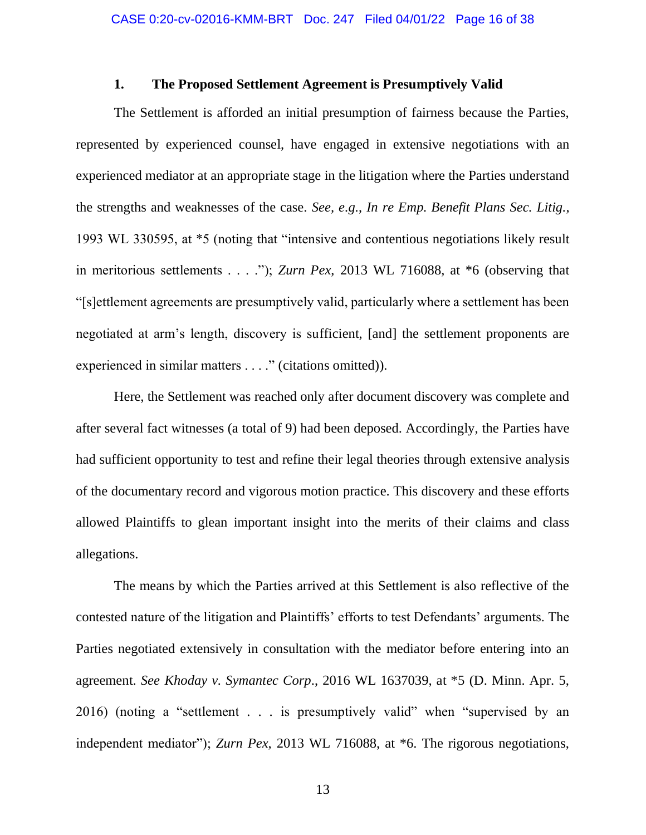### **1. The Proposed Settlement Agreement is Presumptively Valid**

The Settlement is afforded an initial presumption of fairness because the Parties, represented by experienced counsel, have engaged in extensive negotiations with an experienced mediator at an appropriate stage in the litigation where the Parties understand the strengths and weaknesses of the case. *See, e.g.*, *In re Emp. Benefit Plans Sec. Litig.*, 1993 WL 330595, at \*5 (noting that "intensive and contentious negotiations likely result in meritorious settlements . . . ."); *Zurn Pex*, 2013 WL 716088, at \*6 (observing that "[s]ettlement agreements are presumptively valid, particularly where a settlement has been negotiated at arm's length, discovery is sufficient, [and] the settlement proponents are experienced in similar matters . . . ." (citations omitted)).

Here, the Settlement was reached only after document discovery was complete and after several fact witnesses (a total of 9) had been deposed. Accordingly, the Parties have had sufficient opportunity to test and refine their legal theories through extensive analysis of the documentary record and vigorous motion practice. This discovery and these efforts allowed Plaintiffs to glean important insight into the merits of their claims and class allegations.

The means by which the Parties arrived at this Settlement is also reflective of the contested nature of the litigation and Plaintiffs' efforts to test Defendants' arguments. The Parties negotiated extensively in consultation with the mediator before entering into an agreement. *See Khoday v. Symantec Corp*., 2016 WL 1637039, at \*5 (D. Minn. Apr. 5, 2016) (noting a "settlement . . . is presumptively valid" when "supervised by an independent mediator"); *Zurn Pex*, 2013 WL 716088, at \*6. The rigorous negotiations,

13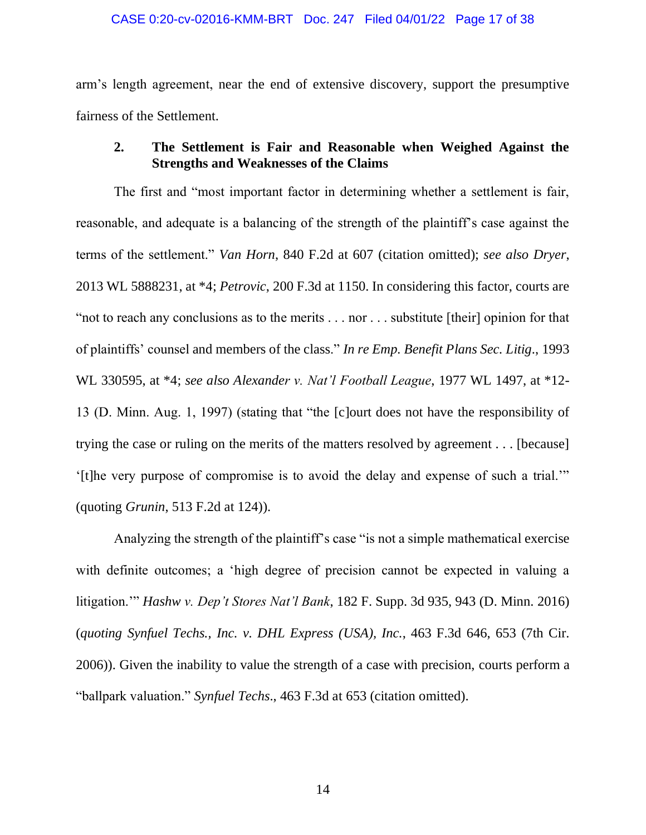#### CASE 0:20-cv-02016-KMM-BRT Doc. 247 Filed 04/01/22 Page 17 of 38

arm's length agreement, near the end of extensive discovery, support the presumptive fairness of the Settlement.

# **2. The Settlement is Fair and Reasonable when Weighed Against the Strengths and Weaknesses of the Claims**

The first and "most important factor in determining whether a settlement is fair, reasonable, and adequate is a balancing of the strength of the plaintiff's case against the terms of the settlement." *Van Horn*, 840 F.2d at 607 (citation omitted); *see also Dryer*, 2013 WL 5888231, at \*4; *Petrovic*, 200 F.3d at 1150. In considering this factor, courts are "not to reach any conclusions as to the merits . . . nor . . . substitute [their] opinion for that of plaintiffs' counsel and members of the class." *In re Emp. Benefit Plans Sec. Litig*., 1993 WL 330595, at \*4; *see also Alexander v. Nat'l Football League*, 1977 WL 1497, at \*12- 13 (D. Minn. Aug. 1, 1997) (stating that "the [c]ourt does not have the responsibility of trying the case or ruling on the merits of the matters resolved by agreement . . . [because] '[t]he very purpose of compromise is to avoid the delay and expense of such a trial.'" (quoting *Grunin*, 513 F.2d at 124)).

Analyzing the strength of the plaintiff's case "is not a simple mathematical exercise with definite outcomes; a 'high degree of precision cannot be expected in valuing a litigation.'" *Hashw v. Dep't Stores Nat'l Bank*, 182 F. Supp. 3d 935, 943 (D. Minn. 2016) (*quoting Synfuel Techs., Inc. v. DHL Express (USA), Inc.*, 463 F.3d 646, 653 (7th Cir. 2006)). Given the inability to value the strength of a case with precision, courts perform a "ballpark valuation." *Synfuel Techs*., 463 F.3d at 653 (citation omitted).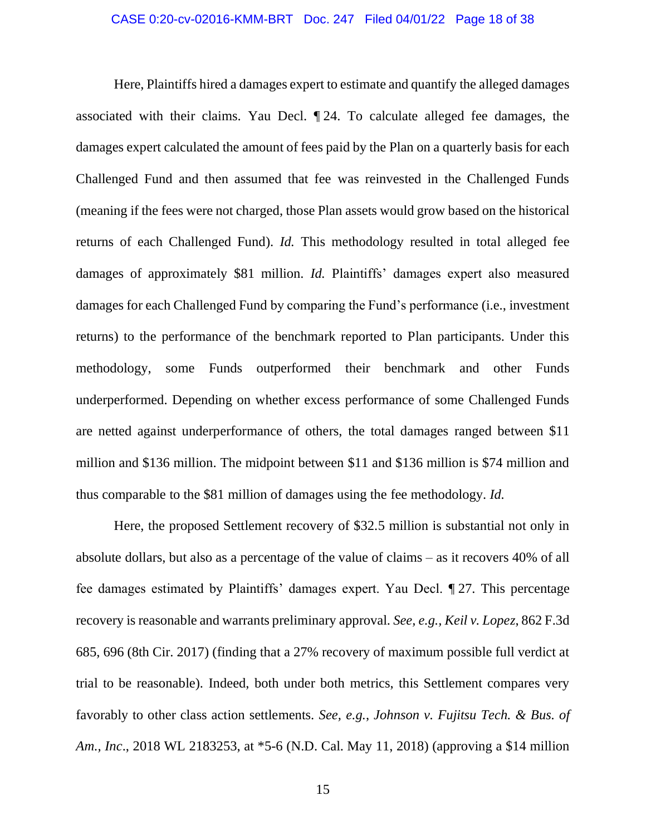#### CASE 0:20-cv-02016-KMM-BRT Doc. 247 Filed 04/01/22 Page 18 of 38

Here, Plaintiffs hired a damages expert to estimate and quantify the alleged damages associated with their claims. Yau Decl. ¶ 24. To calculate alleged fee damages, the damages expert calculated the amount of fees paid by the Plan on a quarterly basis for each Challenged Fund and then assumed that fee was reinvested in the Challenged Funds (meaning if the fees were not charged, those Plan assets would grow based on the historical returns of each Challenged Fund). *Id.* This methodology resulted in total alleged fee damages of approximately \$81 million. *Id.* Plaintiffs' damages expert also measured damages for each Challenged Fund by comparing the Fund's performance (i.e., investment returns) to the performance of the benchmark reported to Plan participants. Under this methodology, some Funds outperformed their benchmark and other Funds underperformed. Depending on whether excess performance of some Challenged Funds are netted against underperformance of others, the total damages ranged between \$11 million and \$136 million. The midpoint between \$11 and \$136 million is \$74 million and thus comparable to the \$81 million of damages using the fee methodology. *Id.*

Here, the proposed Settlement recovery of \$32.5 million is substantial not only in absolute dollars, but also as a percentage of the value of claims – as it recovers 40% of all fee damages estimated by Plaintiffs' damages expert. Yau Decl. ¶ 27. This percentage recovery is reasonable and warrants preliminary approval. *See, e.g., Keil v. Lopez*, 862 F.3d 685, 696 (8th Cir. 2017) (finding that a 27% recovery of maximum possible full verdict at trial to be reasonable). Indeed, both under both metrics, this Settlement compares very favorably to other class action settlements. *See, e.g.*, *Johnson v. Fujitsu Tech. & Bus. of Am., Inc*., 2018 WL 2183253, at \*5-6 (N.D. Cal. May 11, 2018) (approving a \$14 million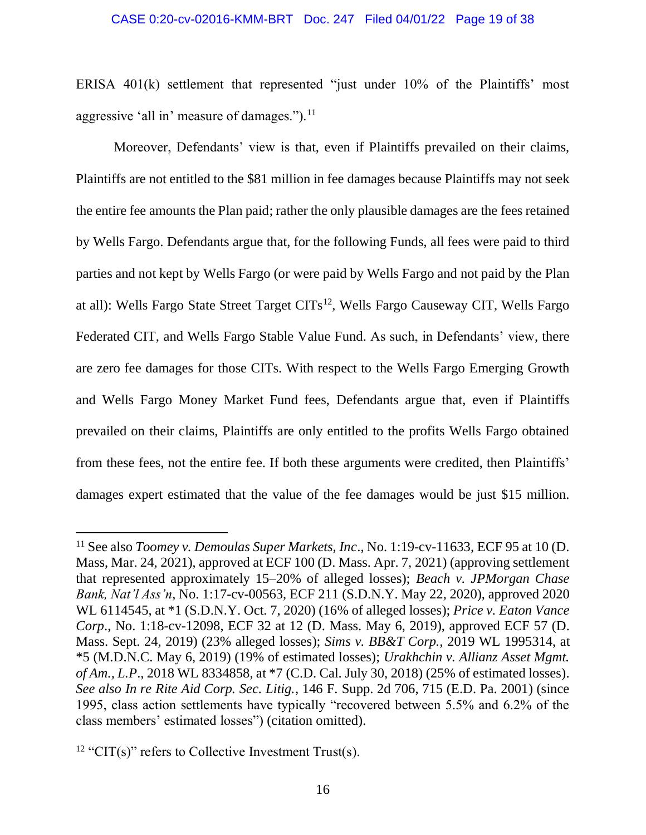#### CASE 0:20-cv-02016-KMM-BRT Doc. 247 Filed 04/01/22 Page 19 of 38

ERISA 401(k) settlement that represented "just under 10% of the Plaintiffs' most aggressive 'all in' measure of damages."). $^{11}$ 

Moreover, Defendants' view is that, even if Plaintiffs prevailed on their claims, Plaintiffs are not entitled to the \$81 million in fee damages because Plaintiffs may not seek the entire fee amounts the Plan paid; rather the only plausible damages are the fees retained by Wells Fargo. Defendants argue that, for the following Funds, all fees were paid to third parties and not kept by Wells Fargo (or were paid by Wells Fargo and not paid by the Plan at all): Wells Fargo State Street Target CITs<sup>12</sup>, Wells Fargo Causeway CIT, Wells Fargo Federated CIT, and Wells Fargo Stable Value Fund. As such, in Defendants' view, there are zero fee damages for those CITs. With respect to the Wells Fargo Emerging Growth and Wells Fargo Money Market Fund fees, Defendants argue that, even if Plaintiffs prevailed on their claims, Plaintiffs are only entitled to the profits Wells Fargo obtained from these fees, not the entire fee. If both these arguments were credited, then Plaintiffs' damages expert estimated that the value of the fee damages would be just \$15 million.

<sup>11</sup> See also *Toomey v. Demoulas Super Markets, Inc*., No. 1:19-cv-11633, ECF 95 at 10 (D. Mass, Mar. 24, 2021), approved at ECF 100 (D. Mass. Apr. 7, 2021) (approving settlement that represented approximately 15–20% of alleged losses); *Beach v. JPMorgan Chase Bank, Nat'l Ass'n*, No. 1:17-cv-00563, ECF 211 (S.D.N.Y. May 22, 2020), approved 2020 WL 6114545, at \*1 (S.D.N.Y. Oct. 7, 2020) (16% of alleged losses); *Price v. Eaton Vance Corp*., No. 1:18-cv-12098, ECF 32 at 12 (D. Mass. May 6, 2019), approved ECF 57 (D. Mass. Sept. 24, 2019) (23% alleged losses); *Sims v. BB&T Corp.,* 2019 WL 1995314, at \*5 (M.D.N.C. May 6, 2019) (19% of estimated losses); *Urakhchin v. Allianz Asset Mgmt. of Am., L.P*., 2018 WL 8334858, at \*7 (C.D. Cal. July 30, 2018) (25% of estimated losses). *See also In re Rite Aid Corp. Sec. Litig.*, 146 F. Supp. 2d 706, 715 (E.D. Pa. 2001) (since 1995, class action settlements have typically "recovered between 5.5% and 6.2% of the class members' estimated losses") (citation omitted).

<sup>&</sup>lt;sup>12</sup> "CIT(s)" refers to Collective Investment Trust(s).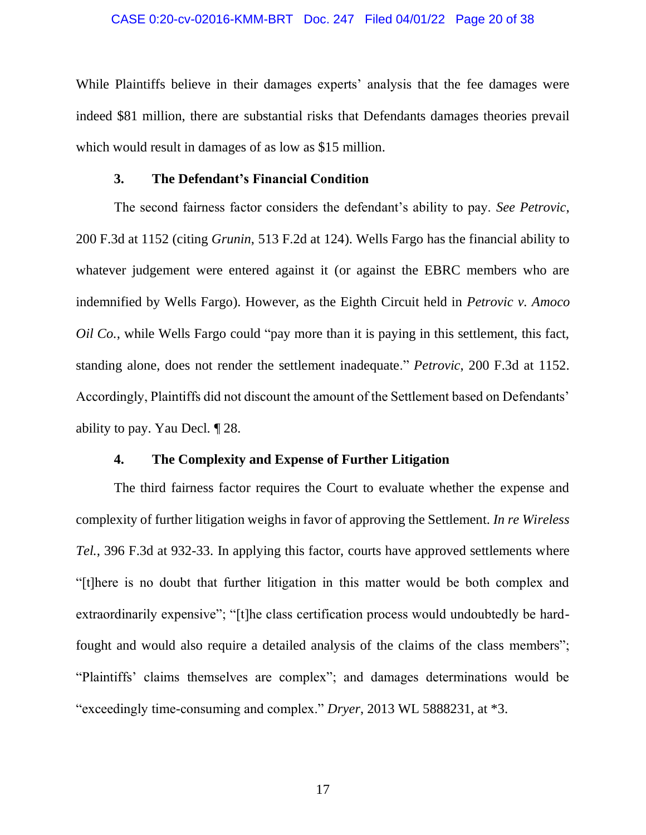#### CASE 0:20-cv-02016-KMM-BRT Doc. 247 Filed 04/01/22 Page 20 of 38

While Plaintiffs believe in their damages experts' analysis that the fee damages were indeed \$81 million, there are substantial risks that Defendants damages theories prevail which would result in damages of as low as \$15 million.

### **3. The Defendant's Financial Condition**

The second fairness factor considers the defendant's ability to pay. *See Petrovic*, 200 F.3d at 1152 (citing *Grunin*, 513 F.2d at 124). Wells Fargo has the financial ability to whatever judgement were entered against it (or against the EBRC members who are indemnified by Wells Fargo). However, as the Eighth Circuit held in *Petrovic v. Amoco Oil Co.*, while Wells Fargo could "pay more than it is paying in this settlement, this fact, standing alone, does not render the settlement inadequate." *Petrovic*, 200 F.3d at 1152. Accordingly, Plaintiffs did not discount the amount of the Settlement based on Defendants' ability to pay. Yau Decl. ¶ 28.

### **4. The Complexity and Expense of Further Litigation**

The third fairness factor requires the Court to evaluate whether the expense and complexity of further litigation weighs in favor of approving the Settlement. *In re Wireless Tel.*, 396 F.3d at 932-33. In applying this factor, courts have approved settlements where "[t]here is no doubt that further litigation in this matter would be both complex and extraordinarily expensive"; "[t]he class certification process would undoubtedly be hardfought and would also require a detailed analysis of the claims of the class members"; "Plaintiffs' claims themselves are complex"; and damages determinations would be "exceedingly time-consuming and complex." *Dryer*, 2013 WL 5888231, at \*3.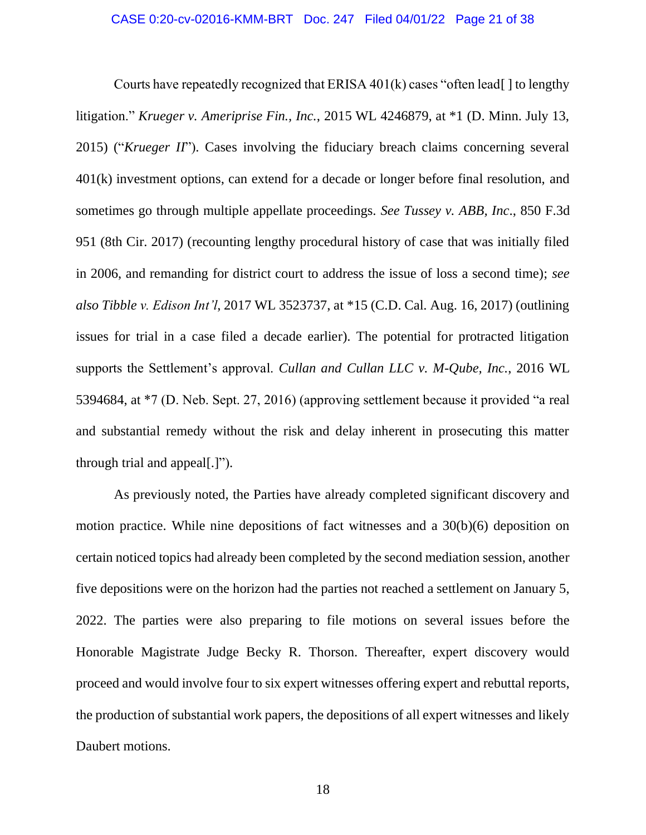Courts have repeatedly recognized that ERISA  $401(k)$  cases "often lead[] to lengthy litigation." *Krueger v. Ameriprise Fin., Inc.*, 2015 WL 4246879, at \*1 (D. Minn. July 13, 2015) ("*Krueger II*"). Cases involving the fiduciary breach claims concerning several 401(k) investment options, can extend for a decade or longer before final resolution, and sometimes go through multiple appellate proceedings. *See Tussey v. ABB, Inc*., 850 F.3d 951 (8th Cir. 2017) (recounting lengthy procedural history of case that was initially filed in 2006, and remanding for district court to address the issue of loss a second time); *see also Tibble v. Edison Int'l*, 2017 WL 3523737, at \*15 (C.D. Cal. Aug. 16, 2017) (outlining issues for trial in a case filed a decade earlier). The potential for protracted litigation supports the Settlement's approval. *Cullan and Cullan LLC v. M-Qube, Inc.*, 2016 WL 5394684, at \*7 (D. Neb. Sept. 27, 2016) (approving settlement because it provided "a real and substantial remedy without the risk and delay inherent in prosecuting this matter through trial and appeal[.]").

As previously noted, the Parties have already completed significant discovery and motion practice. While nine depositions of fact witnesses and a 30(b)(6) deposition on certain noticed topics had already been completed by the second mediation session, another five depositions were on the horizon had the parties not reached a settlement on January 5, 2022. The parties were also preparing to file motions on several issues before the Honorable Magistrate Judge Becky R. Thorson. Thereafter, expert discovery would proceed and would involve four to six expert witnesses offering expert and rebuttal reports, the production of substantial work papers, the depositions of all expert witnesses and likely Daubert motions.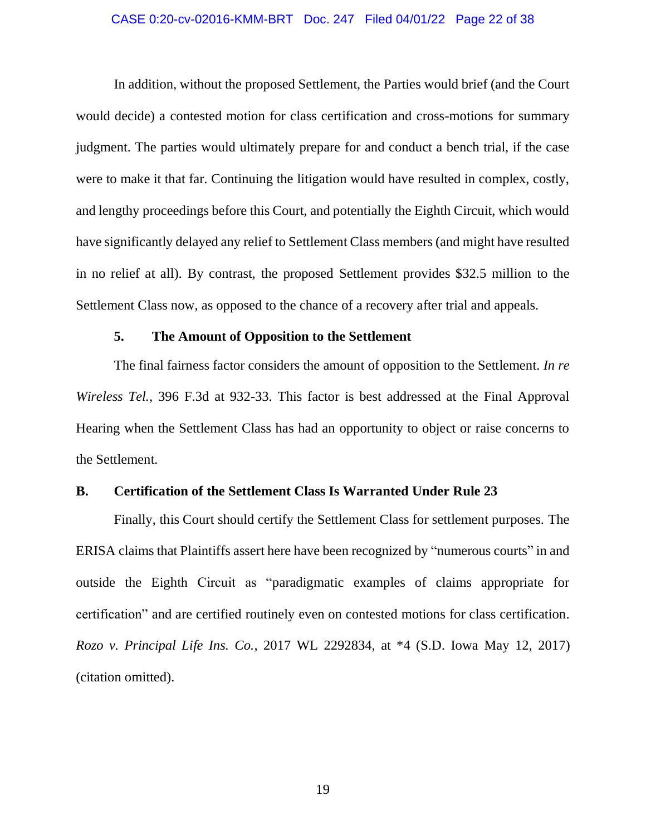#### CASE 0:20-cv-02016-KMM-BRT Doc. 247 Filed 04/01/22 Page 22 of 38

In addition, without the proposed Settlement, the Parties would brief (and the Court would decide) a contested motion for class certification and cross-motions for summary judgment. The parties would ultimately prepare for and conduct a bench trial, if the case were to make it that far. Continuing the litigation would have resulted in complex, costly, and lengthy proceedings before this Court, and potentially the Eighth Circuit, which would have significantly delayed any relief to Settlement Class members (and might have resulted in no relief at all). By contrast, the proposed Settlement provides \$32.5 million to the Settlement Class now, as opposed to the chance of a recovery after trial and appeals.

### **5. The Amount of Opposition to the Settlement**

The final fairness factor considers the amount of opposition to the Settlement. *In re Wireless Tel.*, 396 F.3d at 932-33. This factor is best addressed at the Final Approval Hearing when the Settlement Class has had an opportunity to object or raise concerns to the Settlement.

### **B. Certification of the Settlement Class Is Warranted Under Rule 23**

Finally, this Court should certify the Settlement Class for settlement purposes. The ERISA claims that Plaintiffs assert here have been recognized by "numerous courts" in and outside the Eighth Circuit as "paradigmatic examples of claims appropriate for certification" and are certified routinely even on contested motions for class certification. *Rozo v. Principal Life Ins. Co.*, 2017 WL 2292834, at \*4 (S.D. Iowa May 12, 2017) (citation omitted).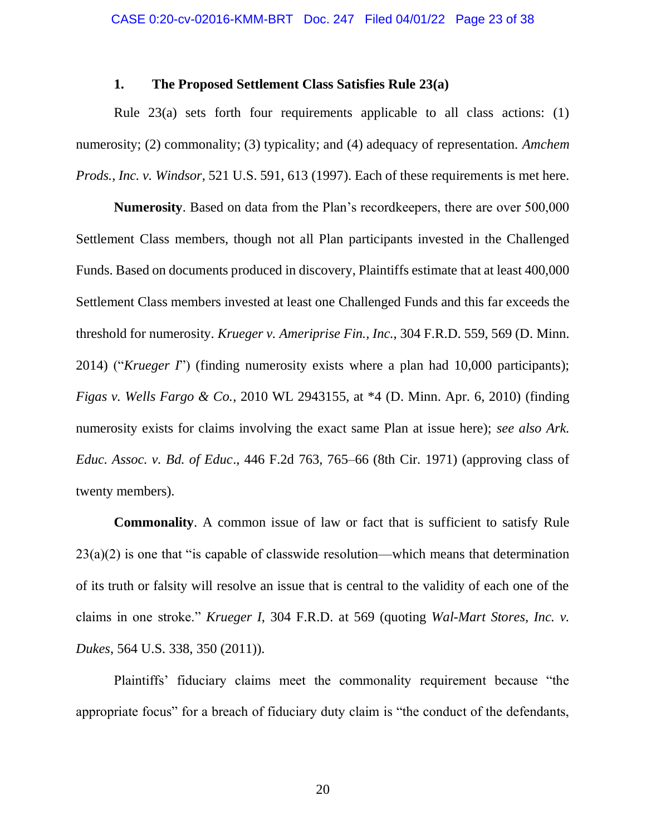### **1. The Proposed Settlement Class Satisfies Rule 23(a)**

Rule 23(a) sets forth four requirements applicable to all class actions: (1) numerosity; (2) commonality; (3) typicality; and (4) adequacy of representation. *Amchem Prods., Inc. v. Windsor*, 521 U.S. 591, 613 (1997). Each of these requirements is met here.

**Numerosity**. Based on data from the Plan's recordkeepers, there are over 500,000 Settlement Class members, though not all Plan participants invested in the Challenged Funds. Based on documents produced in discovery, Plaintiffs estimate that at least 400,000 Settlement Class members invested at least one Challenged Funds and this far exceeds the threshold for numerosity. *Krueger v. Ameriprise Fin., Inc.*, 304 F.R.D. 559, 569 (D. Minn. 2014) ("*Krueger I*") (finding numerosity exists where a plan had 10,000 participants); *Figas v. Wells Fargo & Co.*, 2010 WL 2943155, at \*4 (D. Minn. Apr. 6, 2010) (finding numerosity exists for claims involving the exact same Plan at issue here); *see also Ark. Educ. Assoc. v. Bd. of Educ*., 446 F.2d 763, 765–66 (8th Cir. 1971) (approving class of twenty members).

**Commonality**. A common issue of law or fact that is sufficient to satisfy Rule  $23(a)(2)$  is one that "is capable of classwide resolution—which means that determination of its truth or falsity will resolve an issue that is central to the validity of each one of the claims in one stroke." *Krueger I*, 304 F.R.D. at 569 (quoting *Wal-Mart Stores, Inc. v. Dukes*, 564 U.S. 338, 350 (2011)).

Plaintiffs' fiduciary claims meet the commonality requirement because "the appropriate focus" for a breach of fiduciary duty claim is "the conduct of the defendants,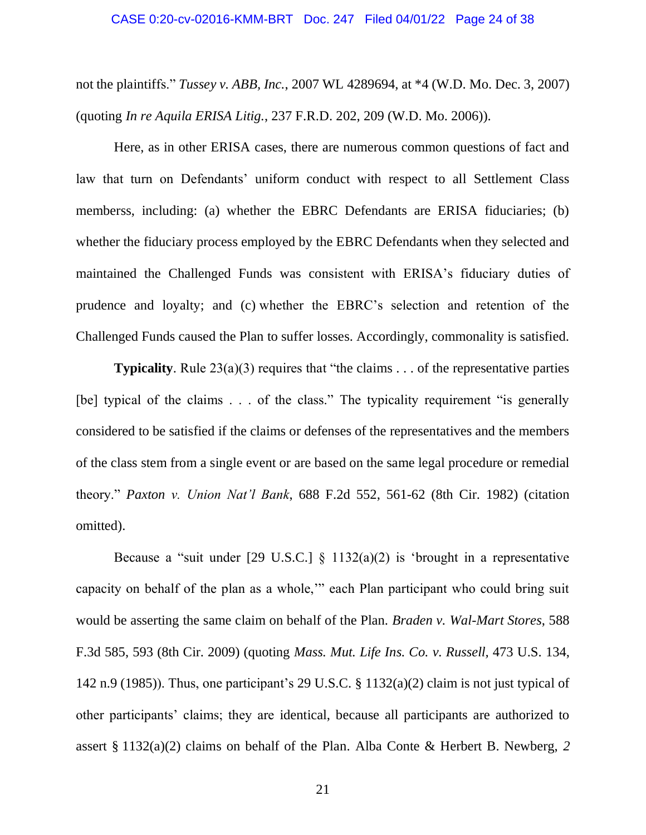#### CASE 0:20-cv-02016-KMM-BRT Doc. 247 Filed 04/01/22 Page 24 of 38

not the plaintiffs." *Tussey v. ABB, Inc.*, 2007 WL 4289694, at \*4 (W.D. Mo. Dec. 3, 2007) (quoting *In re Aquila ERISA Litig.*, 237 F.R.D. 202, 209 (W.D. Mo. 2006)).

Here, as in other ERISA cases, there are numerous common questions of fact and law that turn on Defendants' uniform conduct with respect to all Settlement Class memberss, including: (a) whether the EBRC Defendants are ERISA fiduciaries; (b) whether the fiduciary process employed by the EBRC Defendants when they selected and maintained the Challenged Funds was consistent with ERISA's fiduciary duties of prudence and loyalty; and (c) whether the EBRC's selection and retention of the Challenged Funds caused the Plan to suffer losses. Accordingly, commonality is satisfied.

**Typicality**. Rule 23(a)(3) requires that "the claims . . . of the representative parties [be] typical of the claims . . . of the class." The typicality requirement "is generally considered to be satisfied if the claims or defenses of the representatives and the members of the class stem from a single event or are based on the same legal procedure or remedial theory." *Paxton v. Union Nat'l Bank*, 688 F.2d 552, 561-62 (8th Cir. 1982) (citation omitted).

Because a "suit under [29 U.S.C.]  $\S$  1132(a)(2) is 'brought in a representative capacity on behalf of the plan as a whole,'" each Plan participant who could bring suit would be asserting the same claim on behalf of the Plan. *Braden v. Wal-Mart Stores*, 588 F.3d 585, 593 (8th Cir. 2009) (quoting *Mass. Mut. Life Ins. Co. v. Russell,* 473 U.S. 134, 142 n.9 (1985)). Thus, one participant's 29 U.S.C. § 1132(a)(2) claim is not just typical of other participants' claims; they are identical, because all participants are authorized to assert § 1132(a)(2) claims on behalf of the Plan. Alba Conte & Herbert B. Newberg, *2* 

21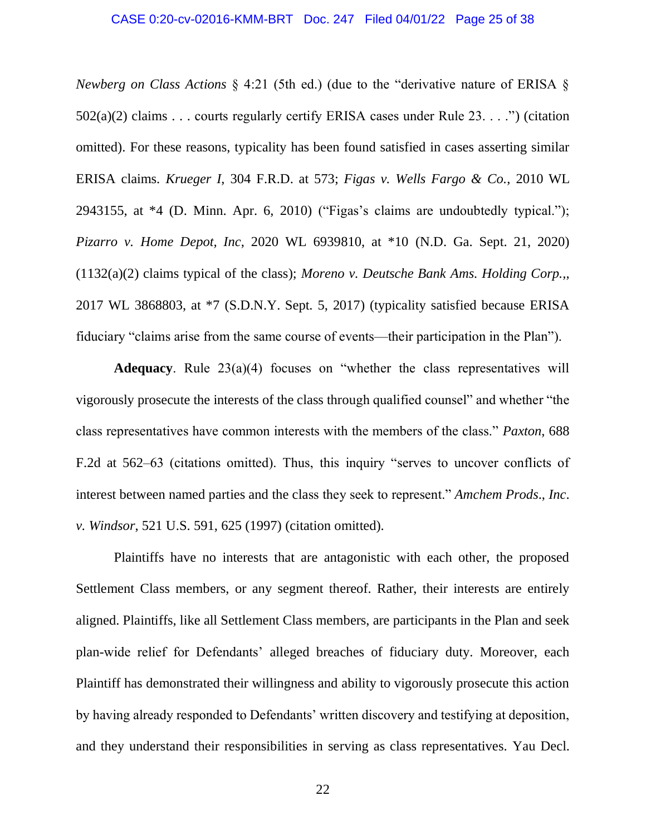### CASE 0:20-cv-02016-KMM-BRT Doc. 247 Filed 04/01/22 Page 25 of 38

*Newberg on Class Actions* § 4:21 (5th ed.) (due to the "derivative nature of ERISA §  $502(a)(2)$  claims . . . courts regularly certify ERISA cases under Rule 23. . . .") (citation omitted). For these reasons, typicality has been found satisfied in cases asserting similar ERISA claims. *Krueger I*, 304 F.R.D. at 573; *Figas v. Wells Fargo & Co.*, 2010 WL 2943155, at  $*4$  (D. Minn. Apr. 6, 2010) ("Figas's claims are undoubtedly typical."); *Pizarro v. Home Depot, Inc*, 2020 WL 6939810, at \*10 (N.D. Ga. Sept. 21, 2020) (1132(a)(2) claims typical of the class); *Moreno v. Deutsche Bank Ams. Holding Corp.,*, 2017 WL 3868803, at \*7 (S.D.N.Y. Sept. 5, 2017) (typicality satisfied because ERISA fiduciary "claims arise from the same course of events—their participation in the Plan").

**Adequacy**. Rule 23(a)(4) focuses on "whether the class representatives will vigorously prosecute the interests of the class through qualified counsel" and whether "the class representatives have common interests with the members of the class." *Paxton*, 688 F.2d at 562–63 (citations omitted). Thus, this inquiry "serves to uncover conflicts of interest between named parties and the class they seek to represent." *Amchem Prods*., *Inc*. *v. Windsor*, 521 U.S. 591, 625 (1997) (citation omitted).

Plaintiffs have no interests that are antagonistic with each other, the proposed Settlement Class members, or any segment thereof. Rather, their interests are entirely aligned. Plaintiffs, like all Settlement Class members, are participants in the Plan and seek plan-wide relief for Defendants' alleged breaches of fiduciary duty. Moreover, each Plaintiff has demonstrated their willingness and ability to vigorously prosecute this action by having already responded to Defendants' written discovery and testifying at deposition, and they understand their responsibilities in serving as class representatives. Yau Decl.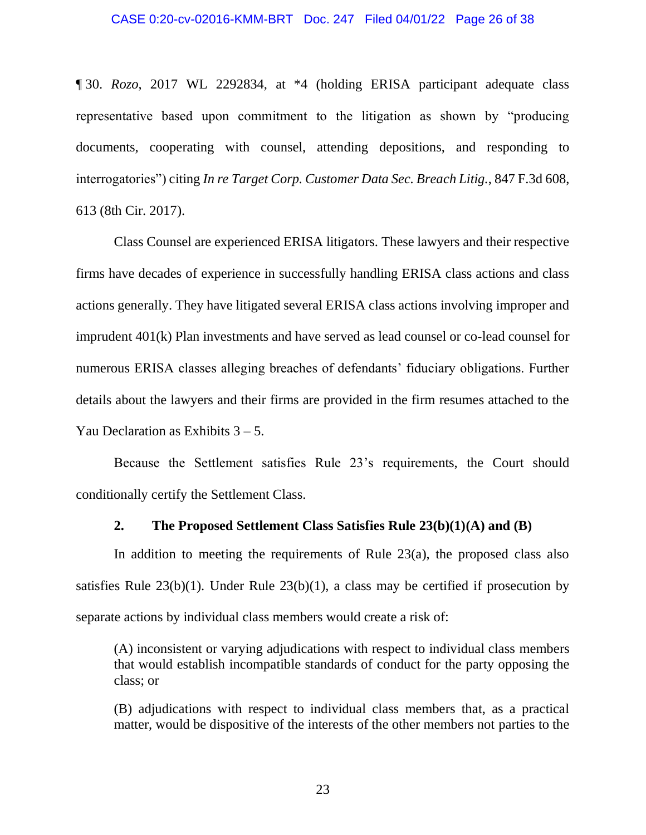¶ 30. *Rozo*, 2017 WL 2292834, at \*4 (holding ERISA participant adequate class representative based upon commitment to the litigation as shown by "producing documents, cooperating with counsel, attending depositions, and responding to interrogatories") citing *In re Target Corp. Customer Data Sec. Breach Litig.*, 847 F.3d 608, 613 (8th Cir. 2017).

Class Counsel are experienced ERISA litigators. These lawyers and their respective firms have decades of experience in successfully handling ERISA class actions and class actions generally. They have litigated several ERISA class actions involving improper and imprudent 401(k) Plan investments and have served as lead counsel or co-lead counsel for numerous ERISA classes alleging breaches of defendants' fiduciary obligations. Further details about the lawyers and their firms are provided in the firm resumes attached to the Yau Declaration as Exhibits  $3 - 5$ .

Because the Settlement satisfies Rule 23's requirements, the Court should conditionally certify the Settlement Class.

### **2. The Proposed Settlement Class Satisfies Rule 23(b)(1)(A) and (B)**

In addition to meeting the requirements of Rule 23(a), the proposed class also satisfies Rule  $23(b)(1)$ . Under Rule  $23(b)(1)$ , a class may be certified if prosecution by separate actions by individual class members would create a risk of:

(A) inconsistent or varying adjudications with respect to individual class members that would establish incompatible standards of conduct for the party opposing the class; or

(B) adjudications with respect to individual class members that, as a practical matter, would be dispositive of the interests of the other members not parties to the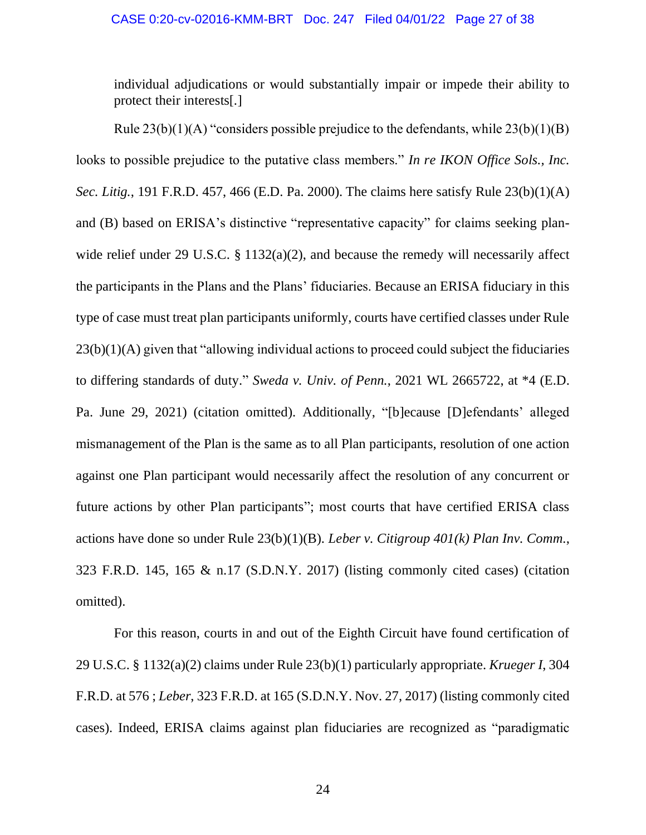individual adjudications or would substantially impair or impede their ability to protect their interests[.]

Rule  $23(b)(1)(A)$  "considers possible prejudice to the defendants, while  $23(b)(1)(B)$ looks to possible prejudice to the putative class members." *In re IKON Office Sols., Inc. Sec. Litig.*, 191 F.R.D. 457, 466 (E.D. Pa. 2000). The claims here satisfy Rule 23(b)(1)(A) and (B) based on ERISA's distinctive "representative capacity" for claims seeking planwide relief under 29 U.S.C. § 1132(a)(2), and because the remedy will necessarily affect the participants in the Plans and the Plans' fiduciaries. Because an ERISA fiduciary in this type of case must treat plan participants uniformly, courts have certified classes under Rule  $23(b)(1)(A)$  given that "allowing individual actions to proceed could subject the fiduciaries to differing standards of duty." *Sweda v. Univ. of Penn.*, 2021 WL 2665722, at \*4 (E.D. Pa. June 29, 2021) (citation omitted). Additionally, "[b]ecause [D]efendants' alleged mismanagement of the Plan is the same as to all Plan participants, resolution of one action against one Plan participant would necessarily affect the resolution of any concurrent or future actions by other Plan participants"; most courts that have certified ERISA class actions have done so under Rule 23(b)(1)(B). *Leber v. Citigroup 401(k) Plan Inv. Comm.*, 323 F.R.D. 145, 165 & n.17 (S.D.N.Y. 2017) (listing commonly cited cases) (citation omitted).

For this reason, courts in and out of the Eighth Circuit have found certification of 29 U.S.C. § 1132(a)(2) claims under Rule 23(b)(1) particularly appropriate. *Krueger I*, 304 F.R.D. at 576 ; *Leber*, 323 F.R.D. at 165 (S.D.N.Y. Nov. 27, 2017) (listing commonly cited cases). Indeed, ERISA claims against plan fiduciaries are recognized as "paradigmatic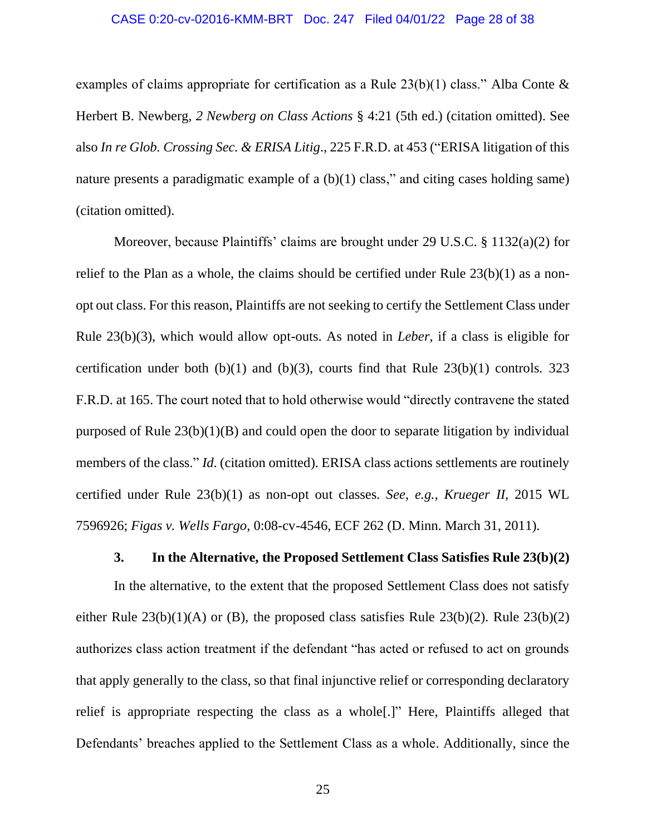#### CASE 0:20-cv-02016-KMM-BRT Doc. 247 Filed 04/01/22 Page 28 of 38

examples of claims appropriate for certification as a Rule  $23(b)(1)$  class." Alba Conte & Herbert B. Newberg, *2 Newberg on Class Actions* § 4:21 (5th ed.) (citation omitted). See also *In re Glob. Crossing Sec. & ERISA Litig*., 225 F.R.D. at 453 ("ERISA litigation of this nature presents a paradigmatic example of a  $(b)(1)$  class," and citing cases holding same) (citation omitted).

Moreover, because Plaintiffs' claims are brought under 29 U.S.C. § 1132(a)(2) for relief to the Plan as a whole, the claims should be certified under Rule 23(b)(1) as a nonopt out class. For this reason, Plaintiffs are not seeking to certify the Settlement Class under Rule 23(b)(3), which would allow opt-outs. As noted in *Leber*, if a class is eligible for certification under both  $(b)(1)$  and  $(b)(3)$ , courts find that Rule 23 $(b)(1)$  controls. 323 F.R.D. at 165. The court noted that to hold otherwise would "directly contravene the stated purposed of Rule 23(b)(1)(B) and could open the door to separate litigation by individual members of the class." *Id.* (citation omitted). ERISA class actions settlements are routinely certified under Rule 23(b)(1) as non-opt out classes. *See, e.g.*, *Krueger II*, 2015 WL 7596926; *Figas v. Wells Fargo*, 0:08-cv-4546, ECF 262 (D. Minn. March 31, 2011).

#### **3. In the Alternative, the Proposed Settlement Class Satisfies Rule 23(b)(2)**

In the alternative, to the extent that the proposed Settlement Class does not satisfy either Rule  $23(b)(1)(A)$  or (B), the proposed class satisfies Rule  $23(b)(2)$ . Rule  $23(b)(2)$ authorizes class action treatment if the defendant "has acted or refused to act on grounds that apply generally to the class, so that final injunctive relief or corresponding declaratory relief is appropriate respecting the class as a whole[.]" Here, Plaintiffs alleged that Defendants' breaches applied to the Settlement Class as a whole. Additionally, since the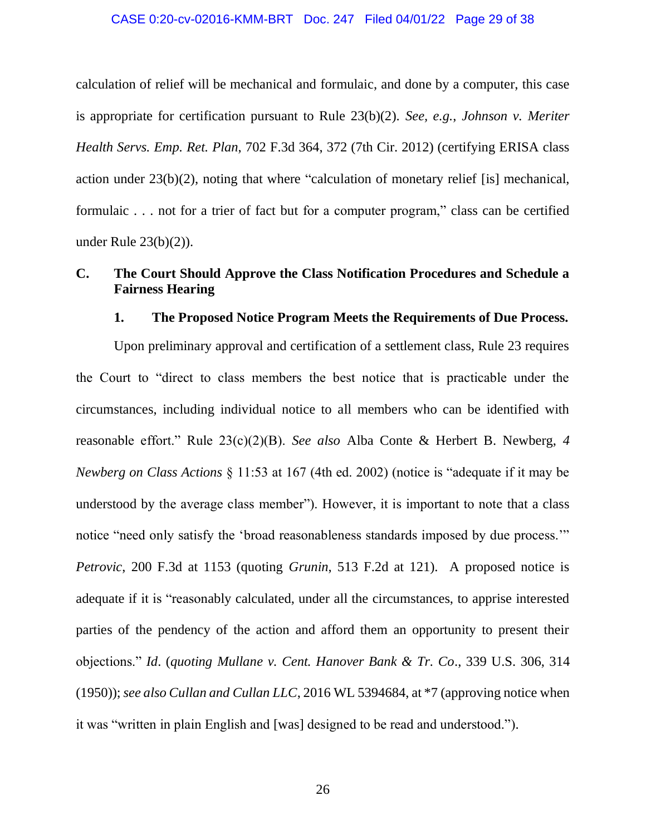#### CASE 0:20-cv-02016-KMM-BRT Doc. 247 Filed 04/01/22 Page 29 of 38

calculation of relief will be mechanical and formulaic, and done by a computer, this case is appropriate for certification pursuant to Rule 23(b)(2). *See, e.g.*, *Johnson v. Meriter Health Servs. Emp. Ret. Plan*, 702 F.3d 364, 372 (7th Cir. 2012) (certifying ERISA class action under 23(b)(2), noting that where "calculation of monetary relief [is] mechanical, formulaic . . . not for a trier of fact but for a computer program," class can be certified under Rule 23(b)(2)).

# **C. The Court Should Approve the Class Notification Procedures and Schedule a Fairness Hearing**

### **1. The Proposed Notice Program Meets the Requirements of Due Process.**

Upon preliminary approval and certification of a settlement class, Rule 23 requires the Court to "direct to class members the best notice that is practicable under the circumstances, including individual notice to all members who can be identified with reasonable effort." Rule 23(c)(2)(B). *See also* Alba Conte & Herbert B. Newberg, *4 Newberg on Class Actions* § 11:53 at 167 (4th ed. 2002) (notice is "adequate if it may be understood by the average class member"). However, it is important to note that a class notice "need only satisfy the 'broad reasonableness standards imposed by due process." *Petrovic*, 200 F.3d at 1153 (quoting *Grunin*, 513 F.2d at 121). A proposed notice is adequate if it is "reasonably calculated, under all the circumstances, to apprise interested parties of the pendency of the action and afford them an opportunity to present their objections." *Id*. (*quoting Mullane v. Cent. Hanover Bank & Tr. Co*., 339 U.S. 306, 314 (1950)); *see also Cullan and Cullan LLC*, 2016 WL 5394684, at \*7 (approving notice when it was "written in plain English and [was] designed to be read and understood.").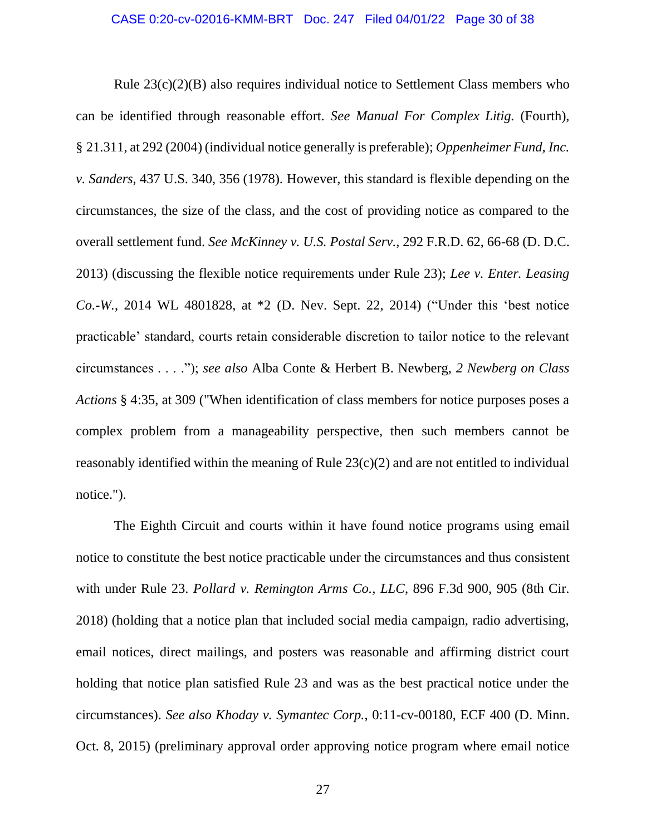Rule 23(c)(2)(B) also requires individual notice to Settlement Class members who can be identified through reasonable effort. *See Manual For Complex Litig.* (Fourth), § 21.311, at 292 (2004) (individual notice generally is preferable); *Oppenheimer Fund, Inc. v. Sanders*, 437 U.S. 340, 356 (1978). However, this standard is flexible depending on the circumstances, the size of the class, and the cost of providing notice as compared to the overall settlement fund. *See McKinney v. U.S. Postal Serv.*, 292 F.R.D. 62, 66-68 (D. D.C. 2013) (discussing the flexible notice requirements under Rule 23); *Lee v. Enter. Leasing Co.-W.*, 2014 WL 4801828, at \*2 (D. Nev. Sept. 22, 2014) ("Under this 'best notice practicable' standard, courts retain considerable discretion to tailor notice to the relevant circumstances . . . ."); *see also* Alba Conte & Herbert B. Newberg, *2 Newberg on Class Actions* § 4:35, at 309 ("When identification of class members for notice purposes poses a complex problem from a manageability perspective, then such members cannot be reasonably identified within the meaning of Rule  $23(c)(2)$  and are not entitled to individual notice.").

The Eighth Circuit and courts within it have found notice programs using email notice to constitute the best notice practicable under the circumstances and thus consistent with under Rule 23. *Pollard v. Remington Arms Co., LLC*, 896 F.3d 900, 905 (8th Cir. 2018) (holding that a notice plan that included social media campaign, radio advertising, email notices, direct mailings, and posters was reasonable and affirming district court holding that notice plan satisfied Rule 23 and was as the best practical notice under the circumstances). *See also Khoday v. Symantec Corp.*, 0:11-cv-00180, ECF 400 (D. Minn. Oct. 8, 2015) (preliminary approval order approving notice program where email notice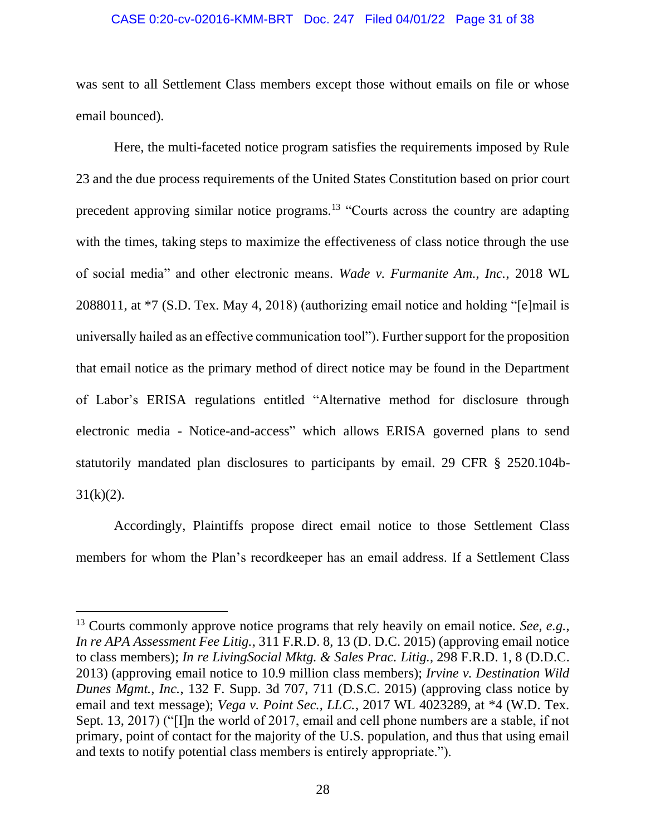#### CASE 0:20-cv-02016-KMM-BRT Doc. 247 Filed 04/01/22 Page 31 of 38

was sent to all Settlement Class members except those without emails on file or whose email bounced).

Here, the multi-faceted notice program satisfies the requirements imposed by Rule 23 and the due process requirements of the United States Constitution based on prior court precedent approving similar notice programs.<sup>13</sup> "Courts across the country are adapting with the times, taking steps to maximize the effectiveness of class notice through the use of social media" and other electronic means. *Wade v. Furmanite Am., Inc.*, 2018 WL 2088011, at \*7 (S.D. Tex. May 4, 2018) (authorizing email notice and holding "[e]mail is universally hailed as an effective communication tool"). Further support for the proposition that email notice as the primary method of direct notice may be found in the Department of Labor's ERISA regulations entitled "Alternative method for disclosure through electronic media - Notice-and-access" which allows ERISA governed plans to send statutorily mandated plan disclosures to participants by email. 29 CFR § 2520.104b- $31(k)(2)$ .

Accordingly, Plaintiffs propose direct email notice to those Settlement Class members for whom the Plan's recordkeeper has an email address. If a Settlement Class

<sup>13</sup> Courts commonly approve notice programs that rely heavily on email notice. *See, e.g.*, *In re APA Assessment Fee Litig.*, 311 F.R.D. 8, 13 (D. D.C. 2015) (approving email notice to class members); *In re LivingSocial Mktg. & Sales Prac. Litig.*, 298 F.R.D. 1, 8 (D.D.C. 2013) (approving email notice to 10.9 million class members); *Irvine v. Destination Wild Dunes Mgmt., Inc.*, 132 F. Supp. 3d 707, 711 (D.S.C. 2015) (approving class notice by email and text message); *Vega v. Point Sec., LLC.*, 2017 WL 4023289, at \*4 (W.D. Tex. Sept. 13, 2017) ("[I]n the world of 2017, email and cell phone numbers are a stable, if not primary, point of contact for the majority of the U.S. population, and thus that using email and texts to notify potential class members is entirely appropriate.").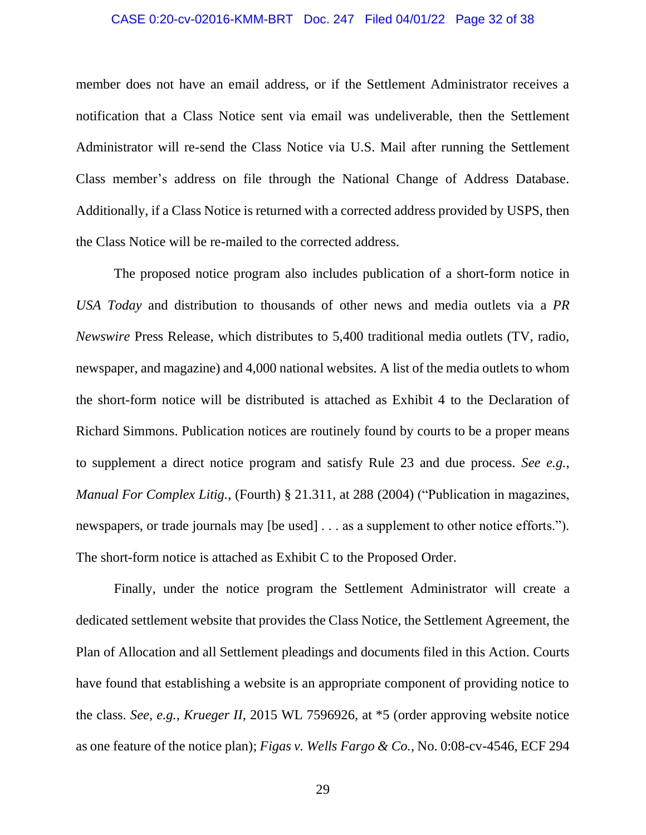#### CASE 0:20-cv-02016-KMM-BRT Doc. 247 Filed 04/01/22 Page 32 of 38

member does not have an email address, or if the Settlement Administrator receives a notification that a Class Notice sent via email was undeliverable, then the Settlement Administrator will re-send the Class Notice via U.S. Mail after running the Settlement Class member's address on file through the National Change of Address Database. Additionally, if a Class Notice is returned with a corrected address provided by USPS, then the Class Notice will be re-mailed to the corrected address.

The proposed notice program also includes publication of a short-form notice in *USA Today* and distribution to thousands of other news and media outlets via a *PR Newswire* Press Release, which distributes to 5,400 traditional media outlets (TV, radio, newspaper, and magazine) and 4,000 national websites. A list of the media outlets to whom the short-form notice will be distributed is attached as Exhibit 4 to the Declaration of Richard Simmons. Publication notices are routinely found by courts to be a proper means to supplement a direct notice program and satisfy Rule 23 and due process. *See e.g.*, *Manual For Complex Litig.*, (Fourth) § 21.311, at 288 (2004) ("Publication in magazines, newspapers, or trade journals may [be used]  $\dots$  as a supplement to other notice efforts."). The short-form notice is attached as Exhibit C to the Proposed Order.

Finally, under the notice program the Settlement Administrator will create a dedicated settlement website that provides the Class Notice, the Settlement Agreement, the Plan of Allocation and all Settlement pleadings and documents filed in this Action. Courts have found that establishing a website is an appropriate component of providing notice to the class. *See, e.g.*, *Krueger II*, 2015 WL 7596926, at \*5 (order approving website notice as one feature of the notice plan); *Figas v. Wells Fargo & Co.*, No. 0:08-cv-4546, ECF 294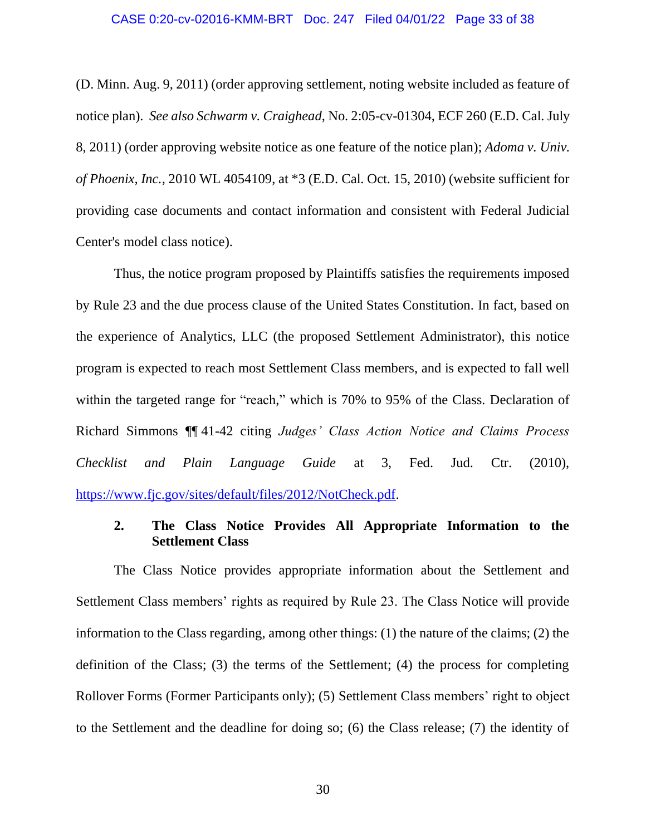(D. Minn. Aug. 9, 2011) (order approving settlement, noting website included as feature of notice plan). *See also Schwarm v. Craighead*, No. 2:05-cv-01304, ECF 260 (E.D. Cal. July 8, 2011) (order approving website notice as one feature of the notice plan); *Adoma v. Univ. of Phoenix, Inc.*, 2010 WL 4054109, at \*3 (E.D. Cal. Oct. 15, 2010) (website sufficient for providing case documents and contact information and consistent with Federal Judicial Center's model class notice).

Thus, the notice program proposed by Plaintiffs satisfies the requirements imposed by Rule 23 and the due process clause of the United States Constitution. In fact, based on the experience of Analytics, LLC (the proposed Settlement Administrator), this notice program is expected to reach most Settlement Class members, and is expected to fall well within the targeted range for "reach," which is 70% to 95% of the Class. Declaration of Richard Simmons ¶¶ 41-42 citing *Judges' Class Action Notice and Claims Process Checklist and Plain Language Guide* at 3, Fed. Jud. Ctr. (2010), [https://www.fjc.gov/sites/default/files/2012/NotCheck.pdf.](https://www.fjc.gov/sites/default/files/2012/NotCheck.pdf)

# **2. The Class Notice Provides All Appropriate Information to the Settlement Class**

The Class Notice provides appropriate information about the Settlement and Settlement Class members' rights as required by Rule 23. The Class Notice will provide information to the Class regarding, among other things: (1) the nature of the claims; (2) the definition of the Class; (3) the terms of the Settlement; (4) the process for completing Rollover Forms (Former Participants only); (5) Settlement Class members' right to object to the Settlement and the deadline for doing so; (6) the Class release; (7) the identity of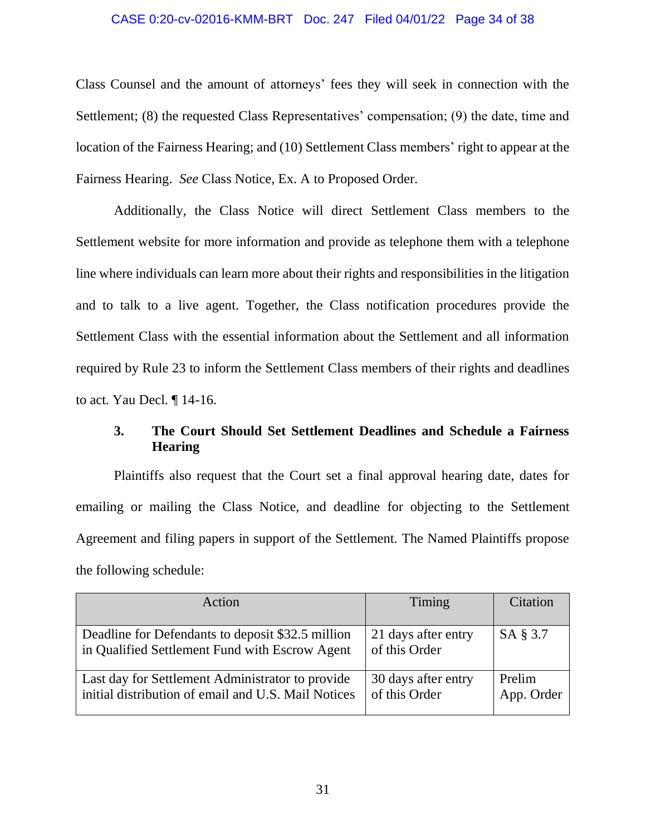#### CASE 0:20-cv-02016-KMM-BRT Doc. 247 Filed 04/01/22 Page 34 of 38

Class Counsel and the amount of attorneys' fees they will seek in connection with the Settlement; (8) the requested Class Representatives' compensation; (9) the date, time and location of the Fairness Hearing; and (10) Settlement Class members' right to appear at the Fairness Hearing. *See* Class Notice, Ex. A to Proposed Order.

Additionally, the Class Notice will direct Settlement Class members to the Settlement website for more information and provide as telephone them with a telephone line where individuals can learn more about their rights and responsibilities in the litigation and to talk to a live agent. Together, the Class notification procedures provide the Settlement Class with the essential information about the Settlement and all information required by Rule 23 to inform the Settlement Class members of their rights and deadlines to act. Yau Decl. ¶ 14-16.

# **3. The Court Should Set Settlement Deadlines and Schedule a Fairness Hearing**

Plaintiffs also request that the Court set a final approval hearing date, dates for emailing or mailing the Class Notice, and deadline for objecting to the Settlement Agreement and filing papers in support of the Settlement. The Named Plaintiffs propose the following schedule:

| Action                                                                                                  | Timing                               | Citation             |
|---------------------------------------------------------------------------------------------------------|--------------------------------------|----------------------|
| Deadline for Defendants to deposit \$32.5 million<br>in Qualified Settlement Fund with Escrow Agent     | 21 days after entry<br>of this Order | SA § 3.7             |
| Last day for Settlement Administrator to provide<br>initial distribution of email and U.S. Mail Notices | 30 days after entry<br>of this Order | Prelim<br>App. Order |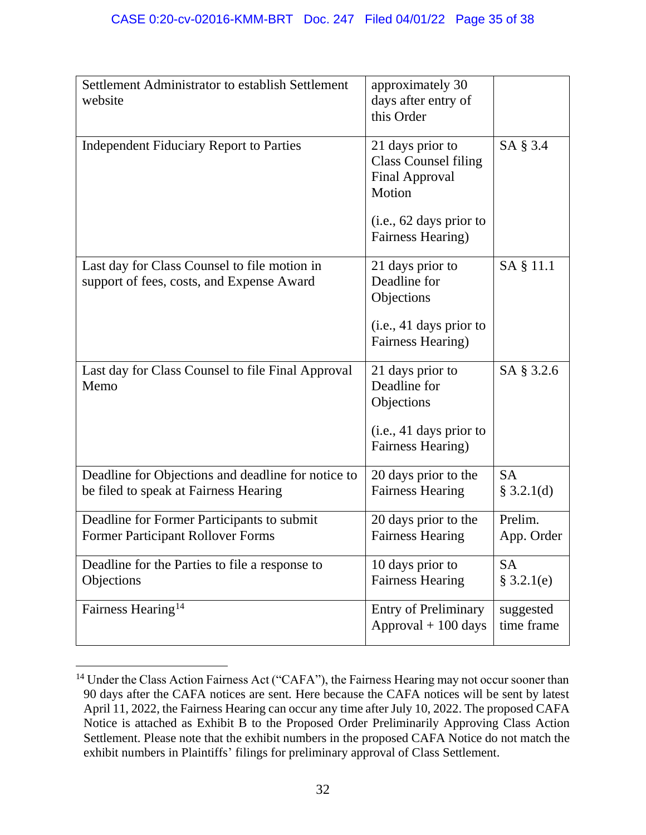| Settlement Administrator to establish Settlement<br>website                                 | approximately 30<br>days after entry of<br>this Order                                          |                         |
|---------------------------------------------------------------------------------------------|------------------------------------------------------------------------------------------------|-------------------------|
| <b>Independent Fiduciary Report to Parties</b>                                              | 21 days prior to<br><b>Class Counsel filing</b><br><b>Final Approval</b><br>Motion             | SA § 3.4                |
|                                                                                             | (i.e., 62 days prior to<br>Fairness Hearing)                                                   |                         |
| Last day for Class Counsel to file motion in<br>support of fees, costs, and Expense Award   | 21 days prior to<br>Deadline for<br>Objections<br>(i.e., 41 days prior to<br>Fairness Hearing) | SA § 11.1               |
| Last day for Class Counsel to file Final Approval<br>Memo                                   | 21 days prior to<br>Deadline for<br>Objections<br>(i.e., 41 days prior to<br>Fairness Hearing) | SA § 3.2.6              |
| Deadline for Objections and deadline for notice to<br>be filed to speak at Fairness Hearing | 20 days prior to the<br><b>Fairness Hearing</b>                                                | <b>SA</b><br>\$3.2.1(d) |
| Deadline for Former Participants to submit<br><b>Former Participant Rollover Forms</b>      | 20 days prior to the<br><b>Fairness Hearing</b>                                                | Prelim.<br>App. Order   |
| Deadline for the Parties to file a response to<br>Objections                                | 10 days prior to<br><b>Fairness Hearing</b>                                                    | <b>SA</b><br>§ 3.2.1(e) |
| Fairness Hearing <sup>14</sup>                                                              | <b>Entry of Preliminary</b><br>$Approxal + 100 \, days$                                        | suggested<br>time frame |

<sup>&</sup>lt;sup>14</sup> Under the Class Action Fairness Act ("CAFA"), the Fairness Hearing may not occur sooner than 90 days after the CAFA notices are sent. Here because the CAFA notices will be sent by latest April 11, 2022, the Fairness Hearing can occur any time after July 10, 2022. The proposed CAFA Notice is attached as Exhibit B to the Proposed Order Preliminarily Approving Class Action Settlement. Please note that the exhibit numbers in the proposed CAFA Notice do not match the exhibit numbers in Plaintiffs' filings for preliminary approval of Class Settlement.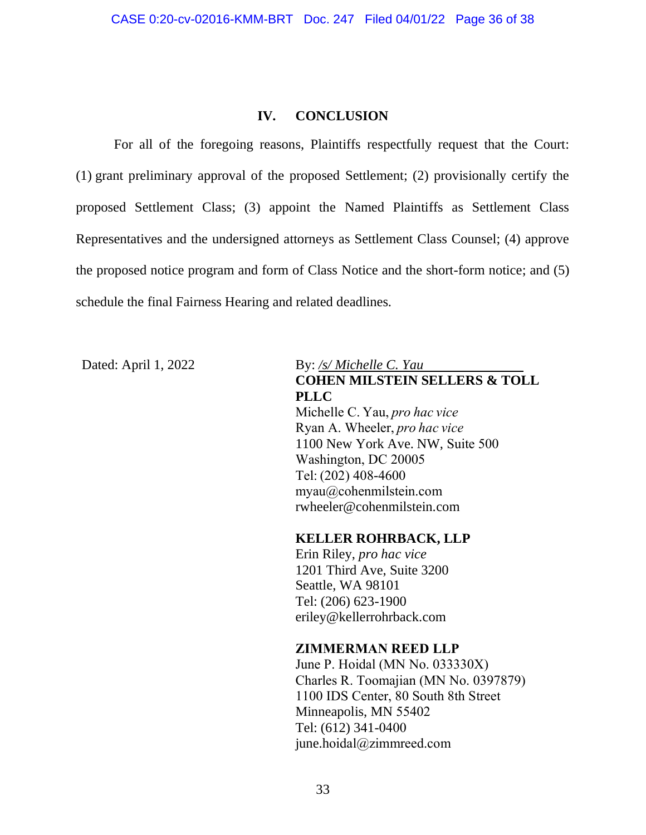### **IV. CONCLUSION**

For all of the foregoing reasons, Plaintiffs respectfully request that the Court: (1) grant preliminary approval of the proposed Settlement; (2) provisionally certify the proposed Settlement Class; (3) appoint the Named Plaintiffs as Settlement Class Representatives and the undersigned attorneys as Settlement Class Counsel; (4) approve the proposed notice program and form of Class Notice and the short-form notice; and (5) schedule the final Fairness Hearing and related deadlines.

# Dated: April 1, 2022 By: */s/ Michelle C. Yau* **COHEN MILSTEIN SELLERS & TOLL PLLC** Michelle C. Yau, *pro hac vice*

Ryan A. Wheeler, *pro hac vice*   1100 New York Ave. NW, Suite 500  Washington, DC 20005  Tel: (202) 408-4600  myau@cohenmilstein.com  rwheeler@cohenmilstein.com

# **KELLER ROHRBACK, LLP**

Erin Riley, *pro hac vice* 1201 Third Ave, Suite 3200 Seattle, WA 98101 Tel: (206) 623-1900 eriley@kellerrohrback.com

# **ZIMMERMAN REED LLP**

June P. Hoidal (MN No. 033330X)  Charles R. Toomajian (MN No. 0397879)  1100 IDS Center, 80 South 8th Street  Minneapolis, MN 55402  Tel: (612) 341-0400  june.hoidal@zimmreed.com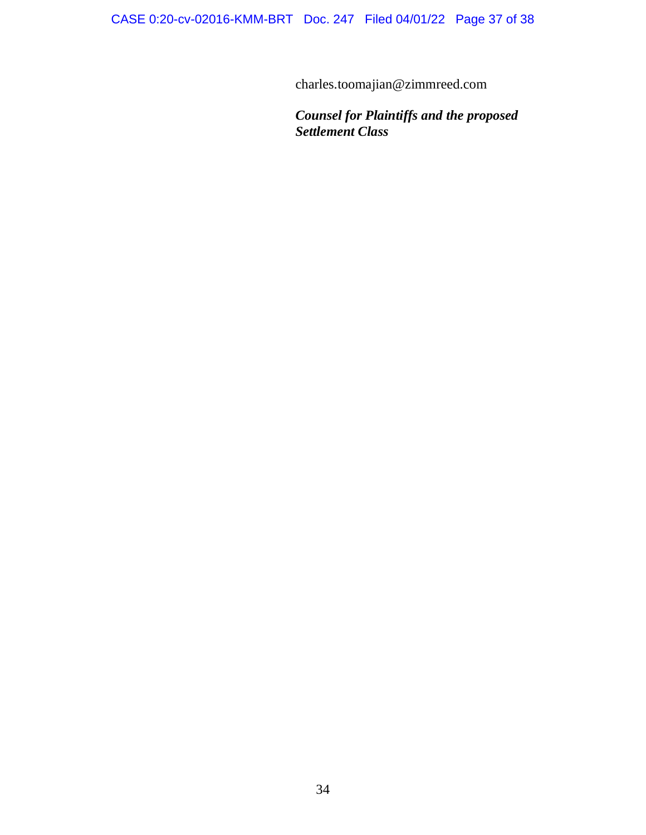charles.toomajian@zimmreed.com

*Counsel for Plaintiffs and the proposed Settlement Class*